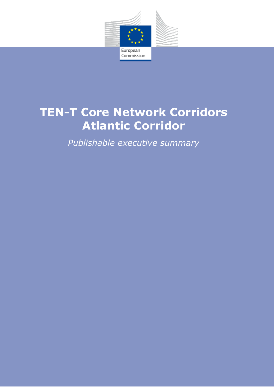

European Commission

# **TEN-T Core Network Corridors Atlantic Corridor**

*Publishable executive summary*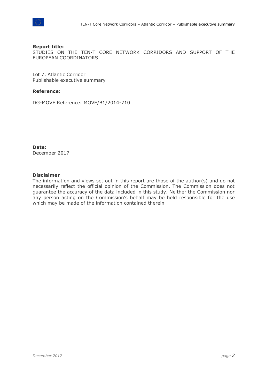

#### **Report title:**

STUDIES ON THE TEN-T CORE NETWORK CORRIDORS AND SUPPORT OF THE EUROPEAN COORDINATORS

Lot 7, Atlantic Corridor Publishable executive summary

#### **Reference:**

DG-MOVE Reference: MOVE/B1/2014-710

**Date:** December 2017

#### **Disclaimer**

The information and views set out in this report are those of the author(s) and do not necessarily reflect the official opinion of the Commission. The Commission does not guarantee the accuracy of the data included in this study. Neither the Commission nor any person acting on the Commission's behalf may be held responsible for the use which may be made of the information contained therein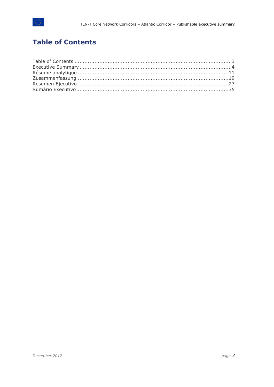## <span id="page-2-0"></span>**Table of Contents**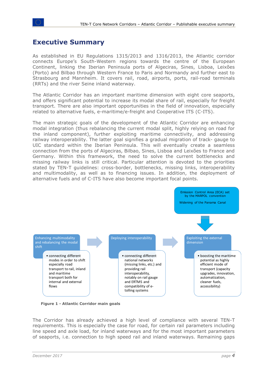#### <span id="page-3-0"></span>**Executive Summary**

As established in EU Regulations 1315/2013 and 1316/2013, the Atlantic corridor connects Europe's South-Western regions towards the centre of the European Continent, linking the Iberian Peninsula ports of Algeciras, Sines, Lisboa, Leixões (Porto) and Bilbao through Western France to Paris and Normandy and further east to Strasbourg and Mannheim. It covers rail, road, airports, ports, rail-road terminals (RRTs) and the river Seine inland waterway.

The Atlantic Corridor has an important maritime dimension with eight core seaports, and offers significant potential to increase its modal share of rail, especially for freight transport. There are also important opportunities in the field of innovation, especially related to alternative fuels, e-maritime/e-freight and Cooperative ITS (C-ITS).

The main strategic goals of the development of the Atlantic Corridor are enhancing modal integration (thus rebalancing the current modal split, highly relying on road for the inland component), further exploiting maritime connectivity, and addressing railway interoperability. The latter goal signifies a gradual migration of track- gauge to UIC standard within the Iberian Peninsula. This will eventually create a seamless connection from the ports of Algeciras, Bilbao, Sines, Lisboa and Leixões to France and Germany. Within this framework, the need to solve the current bottlenecks and missing railway links is still critical. Particular attention is devoted to the priorities stated by TEN-T guidelines: cross-border, bottlenecks, missing links, interoperability and multimodality, as well as to financing issues. In addition, the deployment of alternative fuels and of C-ITS have also become important focal points.



**Figure 1 - Atlantic Corridor main goals**

The Corridor has already achieved a high level of compliance with several TEN-T requirements. This is especially the case for road, for certain rail parameters including line speed and axle load, for inland waterways and for the most important parameters of seaports, i.e. connection to high speed rail and inland waterways. Remaining gaps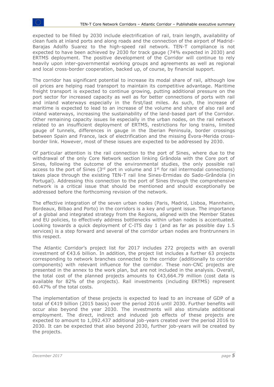expected to be filled by 2030 include electrification of rail, train length, availability of clean fuels at inland ports and along roads and the connection of the airport of Madrid-Barajas Adolfo Suarez to the high-speed rail network. TEN-T compliance is not expected to have been achieved by 2030 for track gauge (74% expected in 2030) and ERTMS deployment. The positive development of the Corridor will continue to rely heavily upon inter-governmental working groups and agreements as well as regional and local cross-border cooperation, backed up, of course, by financial support.

The corridor has significant potential to increase its modal share of rail, although low oil prices are helping road transport to maintain its competitive advantage. Maritime freight transport is expected to continue growing, putting additional pressure on the port sector for increased capacity as well as for better connections of ports with rail and inland waterways especially in the first/last miles. As such, the increase of maritime is expected to lead to an increase of the volume and share of also rail and inland waterways, increasing the sustainability of the land-based part of the Corridor. Other remaining capacity issues lie especially in the urban nodes, on the rail network related to an insufficient deployment of ERTMS, restrictions for long trains, limited gauge of tunnels, differences in gauge in the Iberian Peninsula, border crossings between Spain and France, lack of electrification and the missing Évora-Merida crossborder link. However, most of these issues are expected to be addressed by 2030.

Of particular attention is the rail connection to the port of Sines, where due to the withdrawal of the only Core Network section linking Grândola with the Core port of Sines, following the outcome of the environmental studies, the only possible rail access to the port of Sines ( $3<sup>rd</sup>$  port in volume and  $1<sup>st</sup>$  for rail intermodal connections) takes place through the existing TEN-T rail line Sines-Ermidas do Sado-Grândola (in Portugal). Addressing this connection to the port of Sines through the comprehensive network is a critical issue that should be mentioned and should exceptionally be addressed before the forthcoming revision of the network.

The effective integration of the seven urban nodes (Paris, Madrid, Lisboa, Mannheim, Bordeaux, Bilbao and Porto) in the corridors is a key and urgent issue. The importance of a global and integrated strategy from the Regions, aligned with the Member States and EU policies, to effectively address bottlenecks within urban nodes is accentuated. Looking towards a quick deployment of C-ITS day 1 (and as far as possible day 1.5 services) is a step forward and several of the corridor urban nodes are frontrunners in this respect.

The Atlantic Corridor's project list for 2017 includes 272 projects with an overall investment of €43.6 billion. In addition, the project list includes a further 63 projects corresponding to network branches connected to the corridor (additionally to corridor components) with relevant influence for the corridor. These non-CNC projects are presented in the annex to the work plan, but are not included in the analysis. Overall, the total cost of the planned projects amounts to  $\epsilon$ 43,664.79 million (cost data is available for 82% of the projects). Rail investments (including ERTMS) represent 60.47% of the total costs.

The implementation of these projects is expected to lead to an increase of GDP of a total of €419 billion (2015 basis) over the period 2016 until 2030. Further benefits will occur also beyond the year 2030. The investments will also stimulate additional employment. The direct, indirect and induced job effects of these projects are expected to amount to 1,092.437 additional job-years created over the period 2016 to 2030. It can be expected that also beyond 2030, further job-years will be created by the projects.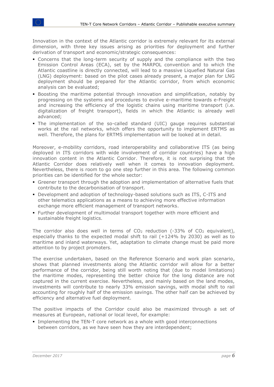Innovation in the context of the Atlantic corridor is extremely relevant for its external dimension, with three key issues arising as priorities for deployment and further derivation of transport and economic/strategic consequences:

- Concerns that the long-term security of supply and the compliance with the two Emission Control Areas (ECA), set by the MARPOL convention and to which the Atlantic coastline is directly connected, will lead to a massive Liquefied Natural Gas (LNG) deployment: based on the pilot cases already present, a major plan for LNG deployment should be prepared for the Atlantic corridor, from which economic analysis can be evaluated;
- Boosting the maritime potential through innovation and simplification, notably by progressing on the systems and procedures to evolve e-maritime towards e-Freight and increasing the efficiency of the logistic chains using maritime transport (i.e. digitalization of freight transport), fields in which the Atlantic is already well advanced;
- The implementation of the so-called standard (UIC) gauge requires substantial works at the rail networks, which offers the opportunity to implement ERTMS as well. Therefore, the plans for ERTMS implementation will be looked at in detail.

Moreover, e-mobility corridors, road interoperability and collaborative ITS (as being deployed in ITS corridors with wide involvement of corridor countries) have a high innovation content in the Atlantic Corridor. Therefore, it is not surprising that the Atlantic Corridor does relatively well when it comes to innovation deployment. Nevertheless, there is room to go one step further in this area. The following common priorities can be identified for the whole sector:

- **Greener transport through the adoption and implementation of alternative fuels that** contribute to the decarbonisation of transport.
- Development and adoption of technology-based solutions such as ITS, C-ITS and other telematics applications as a means to achieving more effective information exchange more efficient management of transport networks.
- Further development of multimodal transport together with more efficient and sustainable freight logistics.

The corridor also does well in terms of  $CO<sub>2</sub>$  reduction (-33% of  $CO<sub>2</sub>$  equivalent), especially thanks to the expected modal shift to rail (+124% by 2030) as well as to maritime and inland waterways. Yet, adaptation to climate change must be paid more attention to by project promoters.

The exercise undertaken, based on the Reference Scenario and work plan scenario, shows that planned investments along the Atlantic corridor will allow for a better performance of the corridor, being still worth noting that (due to model limitations) the maritime modes, representing the better choice for the long distance are not captured in the current exercise. Nevertheless, and mainly based on the land modes, investments will contribute to nearly 33% emission savings, with modal shift to rail accounting for roughly half of the emission savings. The other half can be achieved by efficiency and alternative fuel deployment.

The positive impacts of the Corridor could also be maximized through a set of measures at European, national or local level, for example:

**.** Implementing the TEN-T core network as a whole with good interconnections between corridors, as we have seen how they are interdependent;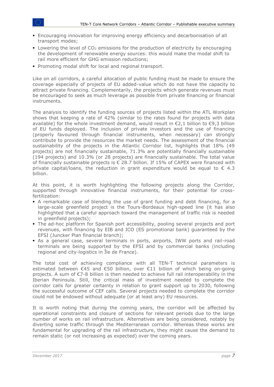- **Encouraging innovation for improving energy efficiency and decarbonisation of all** transport modes;
- $\blacksquare$  Lowering the level of CO<sub>2</sub> emissions for the production of electricity by encouraging the development of renewable energy sources: this would make the modal shift to rail more efficient for GHG emission reductions;
- Promoting modal shift for local and regional transport.

Like on all corridors, a careful allocation of public funding must be made to ensure the coverage especially of projects of EU added-value which do not have the capacity to attract private financing. Complementarily, the projects which generate revenues must be encouraged to seek as much leverage as possible from private financing or financial instruments.

The analysis to identify the funding sources of projects listed within the ATL Workplan shows that keeping a rate of 42% (similar to the rates found for projects with data available) for the whole investment demand, would result in  $\epsilon$ 2,1 billion to  $\epsilon$ 9,3 billion of EU funds deployed. The inclusion of private investors and the use of financing (properly favoured through financial instruments, when necessary) can strongly contribute to provide the resources the market needs. The assessment of the financial sustainability of the projects in the Atlantic Corridor list, highlights that 18% (49 projects) are not financially sustainable, 71.3% are potentially financially sustainable (194 projects) and 10.3% (or 28 projects) are financially sustainable. The total value of financially sustainable projects is  $\epsilon$  28.7 billion. If 15% of CAPEX were financed with private capital/loans, the reduction in grant expenditure would be equal to  $\epsilon$  4.3 billion.

At this point, it is worth highlighting the following projects along the Corridor, supported through innovative financial instruments, for their potential for crossfertilization:

- A remarkable case of blending the use of grant funding and debt financing, for a large-scale greenfield project is the Tours-Bordeaux high-speed line (it has also highlighted that a careful approach toward the management of traffic risk is needed in greenfield projects);
- The ad-hoc platform for Spanish port accessibility, pooling several projects and port revenues, with financing by EIB and ICO (ES promotional bank) guaranteed by the EFSI (Juncker Plan financial branch);
- As a general case, several terminals in ports, airports, IWW ports and rail-road terminals are being supported by the EFSI and by commercial banks (including regional and city-logistics in Île de France).

The total cost of achieving compliance with all TEN-T technical parameters is estimated between €45 and €50 billion, over €11 billion of which being on-going projects. A sum of €7-8 billion is then needed to achieve full rail interoperability in the Iberian Peninsula. Still, the critical mass of investment needed to complete the corridor calls for greater certainty in relation to grant support up to 2030, following the successful outcome of CEF calls. Several projects needed to complete the corridor could not be endowed without adequate (or at least any) EU resources.

It is worth noting that during the coming years, the corridor will be affected by operational constraints and closure of sections for relevant periods due to the large number of works on rail infrastructure. Alternatives are being considered, notably by diverting some traffic through the Mediterranean corridor. Whereas these works are fundamental for upgrading of the rail infrastructure, they might cause the demand to remain static (or not increasing as expected) over the coming years.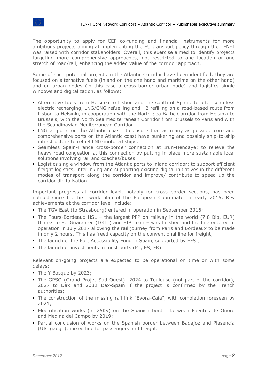The opportunity to apply for CEF co-funding and financial instruments for more ambitious projects aiming at implementing the EU transport policy through the TEN-T was raised with corridor stakeholders. Overall, this exercise aimed to identify projects targeting more comprehensive approaches, not restricted to one location or one stretch of road/rail, enhancing the added value of the corridor approach.

Some of such potential projects in the Atlantic Corridor have been identified: they are focused on alternative fuels (inland on the one hand and maritime on the other hand) and on urban nodes (in this case a cross-border urban node) and logistics single windows and digitalization, as follows:

- **.** Alternative fuels from Helsinki to Lisbon and the south of Spain: to offer seamless electric recharging, LNG/CNG refuelling and H2 refilling on a road-based route from Lisbon to Helsinki, in cooperation with the North Sea Baltic Corridor from Helsinki to Brussels, with the North Sea Mediterranean Corridor from Brussels to Paris and with the Scandinavian Mediterranean Corridor.
- LNG at ports on the Atlantic coast: to ensure that as many as possible core and comprehensive ports on the Atlantic coast have bunkering and possibly ship-to-ship infrastructure to refuel LNG-motored ships.
- Seamless Spain-France cross-border connection at Irun-Hendaye: to relieve the heavy road congestion at this connection by putting in place more sustainable local solutions involving rail and coaches/buses.
- Logistics single window from the Atlantic ports to inland corridor: to support efficient freight logistics, interlinking and supporting existing digital initiatives in the different modes of transport along the corridor and improve/ contribute to speed up the corridor digitalisation.

Important progress at corridor level, notably for cross border sections, has been noticed since the first work plan of the European Coordinator in early 2015. Key achievements at the corridor level include:

- **The TGV East (to Strasbourg) entered in operation in September 2016;**
- The Tours-Bordeaux HSL the largest PPP on railway in the world (7.8 Bio. EUR) thanks to EU Guarantee (LGTT) and EIB Loan – was finished and the line entered in operation in July 2017 allowing the rail journey from Paris and Bordeaux to be made in only 2 hours. This has freed capacity on the conventional line for freight;
- The launch of the Port Accessibility Fund in Spain, supported by EFSI;
- The launch of investments in most ports (PT, ES, FR).

Relevant on-going projects are expected to be operational on time or with some delays:

- The Y Basque by 2023;
- The GPSO (Grand Projet Sud-Ouest): 2024 to Toulouse (not part of the corridor), 2027 to Dax and 2032 Dax-Spain if the project is confirmed by the French authorities;
- The construction of the missing rail link "Évora-Caia", with completion foreseen by 2021;
- Electrification works (at 25Kv) on the Spanish border between Fuentes de Oñoro and Medina del Campo by 2019;
- Partial conclusion of works on the Spanish border between Badajoz and Plasencia (UIC gauge), mixed line for passengers and freight.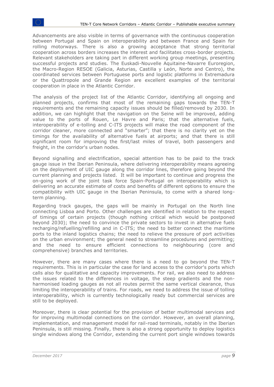Advancements are also visible in terms of governance with the continuous cooperation between Portugal and Spain on interoperability and between France and Spain for rolling motorways. There is also a growing acceptance that strong territorial cooperation across borders increases the interest and facilitates cross-border projects. Relevant stakeholders are taking part in different working group meetings, presenting successful projects and studies. The Euskadi-Nouvelle Aquitaine-Navarre Euroregion, the Macro-Region RESOE (Galicia, Asturias, Castilla y León, Norte and Centro), the coordinated services between Portuguese ports and logistic platforms in Extremadura or the Quattropole and Grande Region are excellent examples of the territorial cooperation in place in the Atlantic Corridor.

The analysis of the project list of the Atlantic Corridor, identifying all ongoing and planned projects, confirms that most of the remaining gaps towards the TEN-T requirements and the remaining capacity issues should be filled/removed by 2030. In addition, we can highlight that the navigation on the Seine will be improved, adding value to the ports of Rouen, Le Havre and Paris; that the alternative fuels, interoperability of e-tolling and C-ITS projects will make the road component of the corridor cleaner, more connected and "smarter"; that there is no clarity yet on the timings for the availability of alternative fuels at airports; and that there is still significant room for improving the first/last miles of travel, both passengers and freight, in the corridor's urban nodes.

Beyond signalling and electrification, special attention has to be paid to the track gauge issue in the Iberian Peninsula, where delivering interoperability means agreeing on the deployment of UIC gauge along the corridor lines, therefore going beyond the current planning and projects listed. It will be important to continue and progress the on-going work of the joint task force Spain-Portugal on interoperability which is delivering an accurate estimate of costs and benefits of different options to ensure the compatibility with UIC gauge in the Iberian Peninsula, to come with a shared longterm planning.

Regarding track gauges, the gaps will be mainly in Portugal on the North line connecting Lisboa and Porto. Other challenges are identified in relation to the respect of timings of certain projects (though nothing critical which would be postponed beyond 2030); the need to convince the private sectors to invest in alternative fuels recharging/refuelling/refilling and in C-ITS; the need to better connect the maritime ports to the inland logistics chains; the need to relieve the pressure of port activities on the urban environment; the general need to streamline procedures and permitting; and the need to ensure efficient connections to neighbouring (core and comprehensive) branches and territories.

However, there are many cases where there is a need to go beyond the TEN-T requirements. This is in particular the case for land access to the corridor's ports which calls also for qualitative and capacity improvements. For rail, we also need to address the issues related to the differences in voltage, the steep gradients and the nonharmonised loading gauges as not all routes permit the same vertical clearance, thus limiting the interoperability of trains. For roads, we need to address the issue of tolling interoperability, which is currently technologically ready but commercial services are still to be deployed.

Moreover, there is clear potential for the provision of better multimodal services and for improving multimodal connections on the corridor. However, an overall planning, implementation, and management model for rail-road terminals, notably in the Iberian Peninsula, is still missing. Finally, there is also a strong opportunity to deploy logistics single windows along the Corridor, extending the current port single windows towards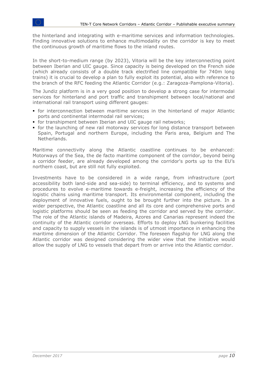the hinterland and integrating with e-maritime services and information technologies. Finding innovative solutions to enhance multimodality on the corridor is key to meet the continuous growth of maritime flows to the inland routes.

In the short-to-medium range (by 2023), Vitoria will be the key interconnecting point between Iberian and UIC gauge. Since capacity is being developed on the French side (which already consists of a double track electrified line compatible for 740m long trains) it is crucial to develop a plan to fully exploit its potential, also with reference to the branch of the RFC feeding the Atlantic Corridor (e.g.: Zaragoza-Pamplona-Vitoria).

The Jundiz platform is in a very good position to develop a strong case for intermodal services for hinterland and port traffic and transhipment between local/national and international rail transport using different gauges:

- for interconnection between maritime services in the hinterland of major Atlantic ports and continental intermodal rail services;
- **•** for transhipment between Iberian and UIC gauge rail networks;
- for the launching of new rail motorway services for long distance transport between Spain, Portugal and northern Europe, including the Paris area, Belgium and The Netherlands.

Maritime connectivity along the Atlantic coastline continues to be enhanced: Motorways of the Sea, the de facto maritime component of the corridor, beyond being a corridor feeder, are already developed among the corridor's ports up to the EU's northern coast, but are still not fully exploited.

Investments have to be considered in a wide range, from infrastructure (port accessibility both land-side and sea-side) to terminal efficiency, and to systems and procedures to evolve e-maritime towards e-freight, increasing the efficiency of the logistic chains using maritime transport. Its environmental component, including the deployment of innovative fuels, ought to be brought further into the picture. In a wider perspective, the Atlantic coastline and all its core and comprehensive ports and logistic platforms should be seen as feeding the corridor and served by the corridor. The role of the Atlantic islands of Madeira, Azores and Canarias represent indeed the continuity of the Atlantic corridor overseas. Efforts to deploy LNG bunkering facilities and capacity to supply vessels in the islands is of utmost importance in enhancing the maritime dimension of the Atlantic Corridor. The foreseen flagship for LNG along the Atlantic corridor was designed considering the wider view that the initiative would allow the supply of LNG to vessels that depart from or arrive into the Atlantic corridor.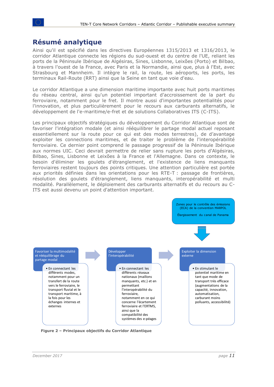## <span id="page-10-0"></span>**Résumé analytique**

Ainsi qu'il est spécifié dans les directives Européennes 1315/2013 et 1316/2013, le corridor Atlantique connecte les régions du sud-ouest et du centre de l'UE, reliant les ports de la Péninsule Ibérique de Algésiras, Sines, Lisbonne, Leixões (Porto) et Bilbao, à travers l'ouest de la France, avec Paris et la Normandie, ainsi que, plus à l'Est, avec Strasbourg et Mannheim. Il intègre le rail, la route, les aéroports, les ports, les terminaux Rail-Route (RRT) ainsi que la Seine en tant que voie d'eau.

Le corridor Atlantique a une dimension maritime importante avec huit ports maritimes du réseau central, ainsi qu'un potentiel important d'accroissement de la part du ferroviaire, notamment pour le fret. Il montre aussi d'importantes potentialités pour l'innovation, et plus particulièrement pour le recours aux carburants alternatifs, le développement de l'e-maritime/e-fret et de solutions Collaboratives ITS (C-ITS).

Les principaux objectifs stratégiques du développement du Corridor Atlantique sont de favoriser l'intégration modale (et ainsi rééquilibrer le partage modal actuel reposant essentiellement sur la route pour ce qui est des modes terrestres), de d'avantage exploiter les connections maritimes, et de traiter le problème de l'interopérabilité ferroviaire. Ce dernier point comprend le passage progressif de la Péninsule Ibérique aux normes UIC. Ceci devrait permettre de relier sans rupture les ports d'Algésiras, Bilbao, Sines, Lisbonne et Leixões à la France et l'Allemagne. Dans ce contexte, le besoin d'éliminer les goulets d'étranglement, et l'existence de liens manquants ferroviaires restent toujours des points critiques. Une attention particulière est portée aux priorités définies dans les orientations pour les RTE-T : passage de frontières, résolution des goulets d'étranglement, liens manquants, interopérabilité et multi modalité. Parallèlement, le déploiement des carburants alternatifs et du recours au C-ITS est aussi devenu un point d'attention important.



**Figure 2 – Principaux objectifs du Corridor Atlantique**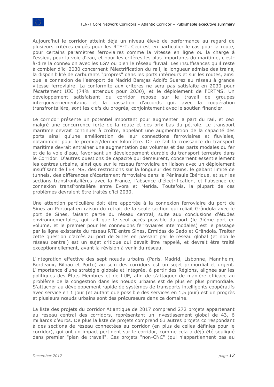Aujourd'hui le corridor atteint déjà un niveau élevé de performance au regard de plusieurs critères exigés pour les RTE-T. Ceci est en particulier le cas pour la route, pour certains paramètres ferroviaires comme la vitesse en ligne ou la charge à l'essieu, pour la voie d'eau, et pour les critères les plus importants du maritime, c'està-dire la connexion avec les LGV ou bien le réseau fluvial. Les insuffisances qu'il reste à combler d'ici 2030 concernent l'électrification du rail, la longueur admise des trains, la disponibilité de carburants "propres" dans les ports intérieurs et sur les routes, ainsi que la connexion de l'aéroport de Madrid Barajas Adolfo Suarez au réseau à grande vitesse ferroviaire. La conformité aux critères ne sera pas satisfaite en 2030 pour l'écartement UIC (74% attendus pour 2030), et le déploiement de l'ERTMS. Un développement satisfaisant du corridor repose sur le travail de groupes intergouvernementaux, et la passation d'accords qui, avec la coopération transfrontalière, sont les clefs du progrès, conjointement avec le soutien financier.

Le corridor présente un potentiel important pour augmenter la part du rail, et ceci malgré une concurrence forte de la route et des prix bas du pétrole. Le transport maritime devrait continuer à croître, appelant une augmentation de la capacité des ports ainsi qu'une amélioration de leur connections ferroviaires et fluviales, notamment pour le premier/dernier kilomètre. De ce fait la croissance du transport maritime devrait entrainer une augmentation des volumes et des parts modales du fer et de la voie d'eau, favorisant un développement durable du transport terrestre dans le Corridor. D'autres questions de capacité qui demeurent, concernent essentiellement les centres urbains, ainsi que sur le réseau ferroviaire en liaison avec un déploiement insuffisant de l'ERTMS, des restrictions sur la longueur des trains, le gabarit limité de tunnels, des différences d'écartement ferroviaire dans la Péninsule Ibérique, et sur les sections transfrontalières avec la France, l'absence d'électrification, et l'absence de connexion transfrontalière entre Evora et Merida. Toutefois, la plupart de ces problèmes devraient être traités d'ici 2030.

Une attention particulière doit être apportée à la connexion ferroviaire du port de Sines au Portugal en raison du retrait de la seule section qui reliait Grândola avec le port de Sines, faisant partie du réseau central, suite aux conclusions d'études environnementales, qui fait que le seul accès possible du port (le 3ième port en volume, et le premier pour les connexions ferroviaires intermodales) est le passage par la ligne existante du réseau RTE entre Sines, Ermidas do Sado et Grândola. Traiter cette question d'accès au port de Sines en passant par le réseau global (et non le réseau central) est un sujet critique qui devait être rappelé, et devrait être traité exceptionnellement, avant la révision à venir du réseau.

L'intégration effective des sept nœuds urbains (Paris, Madrid, Lisbonne, Mannheim, Bordeaux, Bilbao et Porto) au sein des corridors est un sujet primordial et urgent. L'importance d'une stratégie globale et intégrée, à partir des Régions, alignée sur les politiques des États Membres et de l'UE, afin de s'attaquer de manière efficace au problème de la congestion dans les nœuds urbains est de plus en plus primordiale. S'attacher au développement rapide de systèmes de transports intelligents coopératifs avec service en 1 jour (et autant que possible des services en 1,5 jour) est un progrès et plusieurs nœuds urbains sont des précurseurs dans ce domaine.

La liste des projets du corridor Atlantique de 2017 comprend 272 projets appartenant au réseau central des corridors, représentant un investissement global de 43, 6 milliards d'euros. De plus la liste de projets comprend 63 autres projets correspondant à des sections de réseau connectées au corridor (en plus de celles définies pour le corridor), qui ont un impact pertinent sur le corridor, comme cela a déjà été souligné dans premier "plan de travail". Ces projets "non-CNC" (qui n'appartiennent pas au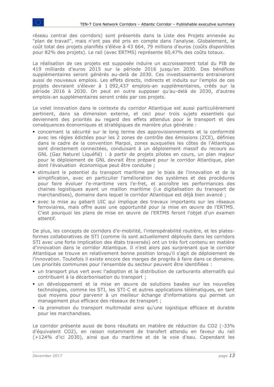réseau central des corridors) sont présentés dans la Liste des Projets annexée au "plan de travail", mais n'ont pas été pris en compte dans l'analyse. Globalement, le coût total des projets planifiés s'élève à 43 664, 79 millions d'euros (coûts disponibles pour 82% des projets). Le rail (avec ERTMS) représente 60,47% des coûts totaux.

La réalisation de ces projets est supposée induire un accroissement total du PIB de 419 milliards d'euros 2015 sur la période 2016 jusqu'en 2030. Des bénéfices supplémentaires seront générés au-delà de 2030. Ces investissements entraineront aussi de nouveaux emplois. Les effets directs, indirects et induits sur l'emploi de ces projets devraient s'élever à 1 092,437 emplois-an supplémentaires, créés sur la période 2016 à 2030. On peut en outre supposer qu'au-delà de 2030, d'autres emplois-an supplémentaires seront créés par ces projets.

Le volet innovation dans le contexte du corridor Atlantique est aussi particulièrement pertinent, dans sa dimension externe, et ceci pour trois sujets essentiels qui deviennent des priorités au regard des effets attendus pour le transport et des conséquences économiques et stratégiques de manière plus générale :

- concernant la sécurité sur le long terme des approvisionnements et la conformité avec les règles édictées pour les 2 zones de contrôle des émissions (ZCE), définies dans le cadre de la convention Marpol, zones auxquelles les côtes de l'Atlantique sont directement connectées, conduisant à un déploiement massif du recours au GNL (Gaz Naturel Liquéfié) : à partir de projets pilotes en cours, un plan majeur pour le déploiement de GNL devrait être préparé pour le corridor Atlantique, plan dont l'évaluation économique peut être conduite ;
- stimulant le potentiel du transport maritime par le biais de l'innovation et de la simplification, avec en particulier l'amélioration des systèmes et des procédures pour faire évoluer l'e-maritime vers l'e-fret, et accroître les performances des chaines logistiques ayant un maillon maritime (i.e digitalisation du transport de marchandises), domaine dans lequel le corridor Atlantique est déjà bien avancé ;
- avec la mise au gabarit UIC qui implique des travaux importants sur les réseaux ferroviaires, mais offre aussi une opportunité pour la mise en œuvre de l'ERTMS. C'est pourquoi les plans de mise en œuvre de l'ERTMS feront l'objet d'un examen attentif.

De plus, les concepts de corridors d'e-mobilité, l'interopérabilité routière, et les platesformes collaboratives de STI (comme ils sont actuellement déployés dans les corridors STI avec une forte implication des états traversés) ont un très fort contenu en matière d'innovation dans le corridor Atlantique. Il n'est alors pas surprenant que le corridor Atlantique se trouve en relativement bonne position lorsqu'il s'agit de déploiement de l'innovation. Toutefois il existe encore des marges de progrès à faire dans ce domaine. Les priorités communes pour l'ensemble du secteur peuvent être identifiées :

- un transport plus vert avec l'adoption et la distribution de carburants alternatifs qui contribuent à la décarbonisation du transport ;
- un développement et la mise en œuvre de solutions basées sur les nouvelles technologies, comme les STI, les STI-C et autres applications télématiques, en tant que moyens pour parvenir à un meilleur échange d'informations qui permet un management plus efficace des réseaux de transport ;
- -la promotion du transport multimodal ainsi qu'une logistique efficace et durable pour les marchandises.

Le corridor présente aussi de bons résultats en matière de réduction du CO2 (-33% d'équivalent CO2), en raison notamment de transfert attendu en faveur du rail (+124% d'ici 2030), ainsi que du maritime et de la voie d'eau. Cependant les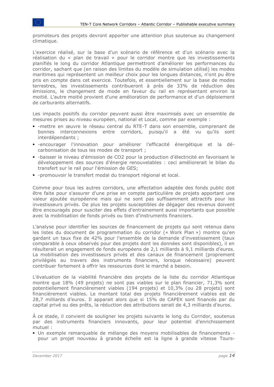promoteurs des projets devront apporter une attention plus soutenue au changement climatique.

L'exercice réalisé, sur la base d'un scénario de référence et d'un scénario avec la réalisation du « plan de travail » pour le corridor montre que les investissements planifiés le long du corridor Atlantique permettront d'améliorer les performances du corridor, sachant que (en raison des limites du modèle de simulation utilisé) les modes maritimes qui représentent un meilleur choix pour les longues distances, n'ont pu être pris en compte dans cet exercice. Toutefois, et essentiellement sur la base de modes terrestres, les investissements contribueront à près de 33% de réduction des émissions, le changement de mode en faveur du rail en représentant environ la moitié. L'autre moitié provient d'une amélioration de performance et d'un déploiement de carburants alternatifs.

Les impacts positifs du corridor peuvent aussi être maximisés avec un ensemble de mesures prises au niveau européen, national et Local, comme par exemple :

- -mettre en œuvre le réseau central du RTE-T dans son ensemble, comprenant de bonnes interconnexions entre corridors, puisqu'il a été vu qu'ils sont interdépendants ;
- -encourager l'innovation pour améliorer l'efficacité énergétique et la décarbonisation de tous les modes de transport ;
- -baisser le niveau d'émission de CO2 pour la production d'électricité en favorisant le développement des sources d'énergie renouvelables : ceci améliorerait le bilan du transfert sur le rail pour l'émission de GES;
- -promouvoir le transfert modal du transport régional et local.

Comme pour tous les autres corridors, une affectation adaptée des fonds public doit être faite pour s'assurer d'une prise en compte particulière de projets apportant une valeur ajoutée européenne mais qui ne sont pas suffisamment attractifs pour les investisseurs privés. De plus les projets susceptibles de dégager des revenus doivent être encouragés pour susciter des effets d'entrainement aussi importants que possible avec la mobilisation de fonds privés ou bien d'instruments financiers.

L'analyse pour identifier les sources de financement de projets qui sont retenus dans les listes du document de programmation du corridor (« Work Plan ») montre qu'en gardant un taux fixe de 42% pour l'ensemble de la demande d'investissement (taux comparable à ceux observés pour des projets dont les données sont disponibles), il en résulterait un engagement de fonds européens de 2,1 milliards à 9,1 milliards d'euros. La mobilisation des investisseurs privés et des canaux de financement (proprement privilégiés au travers des instruments financiers, lorsque nécessaire) peuvent contribuer fortement à offrir les ressources dont le marché a besoin.

L'évaluation de la viabilité financière des projets de la liste du corridor Atlantique montre que 18% (49 projets) ne sont pas viables sur le plan financier, 71,3% sont potentiellement financièrement viables (194 projets) et 10,3% (ou 28 projets) sont financièrement viables. Le montant total des projets financièrement viables est de 28,7 milliards d'euros. Il apparait alors que si 15% de CAPEX sont financés par du capital privé ou des prêts, la réduction des attributions serait de 4,3 milliards d'euros.

À ce stade, il convient de souligner les projets suivants le long du Corridor, soutenus par des instruments financiers innovants, pour leur potentiel d'enrichissement mutuel :

▪ Un exemple remarquable de mélange des moyens mobilisables de financements pour un projet nouveau à grande échelle est la ligne à grande vitesse Tours-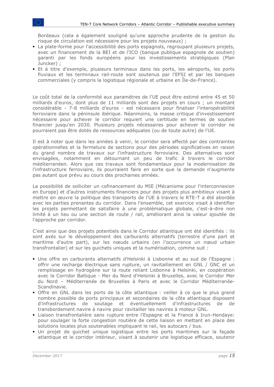Bordeaux (cela a également souligné qu'une approche prudente de la gestion du risque de circulation est nécessaire pour les projets nouveaux) ;

- La plate-forme pour l'accessibilité des ports espagnols, regroupant plusieurs projets, avec un financement de la BEI et de l'ICO (banque publique espagnole de soutien) garanti par les fonds européens pour les investissements stratégiques (Plan Juncker) ;
- Et à titre d'exemple, plusieurs terminaux dans les ports, les aéroports, les ports fluviaux et les terminaux rail-route sont soutenus par l'EFSI et par les banques commerciales (y compris la logistique régionale et urbaine en Île-de-France).

Le coût total de la conformité aux paramètres de l'UE peut être estimé entre 45 et 50 milliards d'euros, dont plus de 11 milliards sont des projets en cours ; un montant considérable - 7-8 milliards d'euros - est nécessaire pour finaliser l'interopérabilité ferroviaire dans la péninsule ibérique. Néanmoins, la masse critique d'investissement nécessaire pour achever le corridor requiert une certitude en termes de soutien financier jusqu'en 2030. Plusieurs projets nécessaires pour achever le corridor ne pourraient pas être dotés de ressources adéquates (ou de toute autre) de l'UE.

Il est à noter que dans les années à venir, le corridor sera affecté par des contraintes opérationnelles et la fermeture de sections pour des périodes significatives en raison du grand nombre de travaux sur l'infrastructure ferroviaire. Des alternatives sont envisagées, notamment en détournant un peu de trafic à travers le corridor méditerranéen. Alors que ces travaux sont fondamentaux pour la modernisation de l'infrastructure ferroviaire, ils pourraient faire en sorte que la demande n'augmente pas autant que prévu au cours des prochaines années.

La possibilité de solliciter un cofinancement du MIE (Mécanisme pour l'interconnexion en Europe) et d'autres instruments financiers pour des projets plus ambitieux visant à mettre en œuvre la politique des transports de l'UE à travers le RTE-T a été abordée avec les parties prenantes du corridor. Dans l'ensemble, cet exercice visait à identifier les projets permettant de satisfaire à une problématique globale, c'est-à-dire non limité à un lieu ou une section de route / rail, améliorant ainsi la valeur ajoutée de l'approche par corridor.

C'est ainsi que des projets potentiels dans le Corridor atlantique ont été identifiés : ils sont axés sur le développement des carburants alternatifs (terrestre d'une part et maritime d'autre part), sur les nœuds urbains (en l'occurrence un nœud urbain transfrontalier) et sur les guichets uniques et la numérisation, comme suit :

- Une offre en carburants alternatifs d'Helsinki à Lisbonne et au sud de l'Espagne : offrir une recharge électrique sans rupture, un ravitaillement en GNL / GNC et un remplissage en hydrogène sur la route reliant Lisbonne à Helsinki, en coopération avec le Corridor Baltique - Mer du Nord d'Helsinki à Bruxelles, avec le Corridor Mer du Nord – Méditerranée de Bruxelles à Paris et avec le Corridor Méditerranée-Scandinavie.
- Offre en GNL dans les ports de la côte atlantique : veiller à ce que le plus grand nombre possible de ports principaux et secondaires de la côte atlantique disposent d'infrastructures de soutage et éventuellement d'infrastructures de de transbordement navire à navire pour ravitailler les navires à moteur GNL.
- Liaison transfrontalière sans rupture entre l'Espagne et la France à Irun-Hendaye: pour soulager la forte congestion routière de cette liaison en mettant en place des solutions locales plus soutenables impliquant le rail, les autocars / bus.
- Un projet de guichet unique logistique entre les ports maritimes sur la façade atlantique et le corridor intérieur, visant à soutenir une logistique efficace, soutenir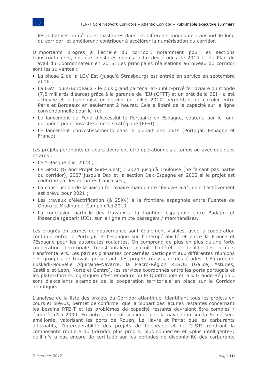les initiatives numériques existantes dans les différents modes de transport le long du corridor, et améliorer / contribuer à accélérer la numérisation du corridor.

D'importants progrès à l'échelle du corridor, notamment pour les sections transfrontalières, ont été constatés depuis la fin des études de 2014 et du Plan de Travail du Coordonnateur en 2015. Les principales réalisations au niveau du corridor sont les suivantes :

- La phase 2 de la LGV Est (jusqu'à Strasbourg) est entrée en service en septembre 2016 ;
- La LGV Tours-Bordeaux le plus grand partenariat-public-privé ferroviaire du monde (7,8 milliards d'euros) grâce à la garantie de l'EU (GPTT) et un prêt de la BEI - a été achevée et la ligne mise en service en juillet 2017, permettant de circuler entre Paris et Bordeaux en seulement 2 heures. Cela a libéré de la capacité sur la ligne conventionnelle pour le fret ;
- Le lancement du Fond d'Accessibilité Portuaire en Espagne, soutenu par le fond européen pour l'investissement stratégique (EFSI) ;
- Le lancement d'investissements dans la plupart des ports (Portugal, Espagne et France).

Les projets pertinents en cours devraient être opérationnels à temps ou avec quelques retards :

- Le Y Basque d'ici 2023 ;
- Le GPSO (Grand Projet Sud-Ouest) : 2024 jusqu'à Toulouse (ne faisant pas partie du corridor), 2027 jusqu'à Dax et la section Dax-Espagne en 2032 si le projet est confirmé par les autorités françaises ;
- La construction de la liaison ferroviaire manquante "Évora-Caia", dont l'achèvement est prévu pour 2021 ;
- Les travaux d'électrification (à 25Kv) à la frontière espagnole entre Fuentes de Oñoro et Medina del Campo d'ici 2019 ;
- La conclusion partielle des travaux à la frontière espagnole entre Badajoz et Plasencia (gabarit UIC), sur la ligne mixte passagers / marchandises.

Les progrès en termes de gouvernance sont également visibles, avec la coopération continue entre le Portugal et l'Espagne sur l'interopérabilité et entre la France et l'Espagne pour les autoroutes roulantes. On comprend de plus en plus qu'une forte coopération territoriale transfrontalière accroît l'intérêt et facilite les projets transfrontaliers. Les parties prenantes concernées participent aux différentes réunions des groupes de travail, présentant des projets réussis et des études. L'Eurorégion Euskadi-Nouvelle Aquitaine-Navarre, la Macro-Région RESOE (Galice, Asturies, Castille-et-León, Norte et Centro), les services coordonnés entre les ports portugais et les plates-formes logistiques d'Estrémadure ou le Quattropole et la « Grande Région » sont d'excellents exemples de la coopération territoriale en place sur le Corridor atlantique.

L'analyse de la liste des projets du Corridor atlantique, identifiant tous les projets en cours et prévus, permet de confirmer que la plupart des lacunes restantes concernant les besoins RTE-T et les problèmes de capacité restants devraient être comblés / éliminés d'ici 2030. En outre, on peut souligner que la navigation sur la Seine sera améliorée, valorisant les ports de Rouen, Le Havre et Paris; que les carburants alternatifs, l'interopérabilité des projets de télépéage et de C-STI rendront la composante routière du Corridor plus propre, plus connectée et «plus intelligente»; qu'il n'y a pas encore de certitude sur les périodes de disponibilité des carburants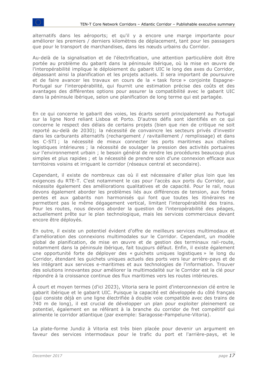alternatifs dans les aéroports; et qu'il y a encore une marge importante pour améliorer les premiers / derniers kilomètres de déplacement, tant pour les passagers que pour le transport de marchandises, dans les nœuds urbains du Corridor.

Au-delà de la signalisation et de l'électrification, une attention particulière doit être portée au problème du gabarit dans la péninsule ibérique, où la mise en œuvre de l'interopérabilité implique le déploiement du gabarit UIC le long des axes du Corridor, dépassant ainsi la planification et les projets actuels. Il sera important de poursuivre et de faire avancer les travaux en cours de la « task force » conjointe Espagne-Portugal sur l'interopérabilité, qui fournit une estimation précise des coûts et des avantages des différentes options pour assurer la compatibilité avec le gabarit UIC dans la péninsule ibérique, selon une planification de long terme qui est partagée.

En ce qui concerne le gabarit des voies, les écarts seront principalement au Portugal sur la ligne Nord reliant Lisboa et Porto. D'autres défis sont identifiés en ce qui concerne le respect des délais de certains projets (bien que rien de critique ne soit reporté au-delà de 2030); la nécessité de convaincre les secteurs privés d'investir dans les carburants alternatifs (rechargement / ravitaillement / remplissage) et dans les C-STI ; la nécessité de mieux connecter les ports maritimes aux chaînes logistiques intérieures ; la nécessité de soulager la pression des activités portuaires sur l'environnement urbain ; le besoin général de rendre les procédures beaucoup plus simples et plus rapides ; et la nécessité de prendre soin d'une connexion efficace aux territoires voisins et irriguant le corridor (réseaux central et secondaire).

Cependant, il existe de nombreux cas où il est nécessaire d'aller plus loin que les exigences du RTE-T. C'est notamment le cas pour l'accès aux ports du Corridor, qui nécessite également des améliorations qualitatives et de capacité. Pour le rail, nous devons également aborder les problèmes liés aux différences de tension, aux fortes pentes et aux gabarits non harmonisés qui font que toutes les itinéraires ne permettent pas le même dégagement vertical, limitant l'interopérabilité des trains. Pour les routes, nous devons aborder la question de l'interopérabilité des péages, actuellement prête sur le plan technologique, mais les services commerciaux devant encore être déployés.

En outre, il existe un potentiel évident d'offre de meilleurs services multimodaux et d'amélioration des connexions multimodales sur le Corridor. Cependant, un modèle global de planification, de mise en œuvre et de gestion des terminaux rail-route, notamment dans la péninsule ibérique, fait toujours défaut. Enfin, il existe également une opportunité forte de déployer des « guichets uniques logistiques » le long du Corridor, étendant les guichets uniques actuels des ports vers leur arrière-pays et de les intégrant aux services e-maritimes et aux technologies de l'information. Trouver des solutions innovantes pour améliorer la multimodalité sur le Corridor est la clé pour répondre à la croissance continue des flux maritimes vers les routes intérieures.

À court et moyen termes (d'ici 2023), Vitoria sera le point d'interconnexion clé entre le gabarit ibérique et le gabarit UIC. Puisque la capacité est développée du côté français (qui consiste déjà en une ligne électrifiée à double voie compatible avec des trains de 740 m de long), il est crucial de développer un plan pour exploiter pleinement ce potentiel, également en se référant à la branche du corridor de fret compétitif qui alimente le corridor atlantique (par exemple: Saragosse-Pampelune-Vitoria).

La plate-forme Jundiz à Vitoria est très bien placée pour devenir un argument en faveur des services intermodaux pour le trafic du port et l'arrière-pays, et le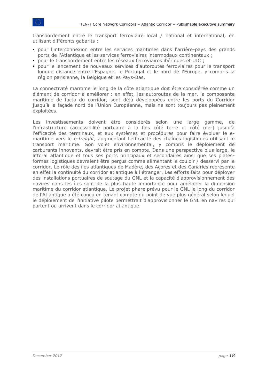transbordement entre le transport ferroviaire local / national et international, en utilisant différents gabarits :

- pour l'interconnexion entre les services maritimes dans l'arrière-pays des grands ports de l'Atlantique et les services ferroviaires intermodaux continentaux ;
- pour le transbordement entre les réseaux ferroviaires ibériques et UIC ;
- pour le lancement de nouveaux services d'autoroutes ferroviaires pour le transport longue distance entre l'Espagne, le Portugal et le nord de l'Europe, y compris la région parisienne, la Belgique et les Pays-Bas.

La connectivité maritime le long de la côte atlantique doit être considérée comme un élément de corridor à améliorer : en effet, les autoroutes de la mer, la composante maritime de facto du corridor, sont déjà développées entre les ports du Corridor jusqu'à la façade nord de l'Union Européenne, mais ne sont toujours pas pleinement exploitées.

Les investissements doivent être considérés selon une large gamme, de l'infrastructure (accessibilité portuaire à la fois côté terre et côté mer) jusqu'à l'efficacité des terminaux, et aux systèmes et procédures pour faire évoluer le emaritime vers le *e-freight*, augmentant l'efficacité des chaînes logistiques utilisant le transport maritime. Son volet environnemental, y compris le déploiement de carburants innovants, devrait être pris en compte. Dans une perspective plus large, le littoral atlantique et tous ses ports principaux et secondaires ainsi que ses platesformes logistiques devraient être perçus comme alimentant le couloir / desservi par le corridor. Le rôle des îles atlantiques de Madère, des Açores et des Canaries représente en effet la continuité du corridor atlantique à l'étranger. Les efforts faits pour déployer des installations portuaires de soutage du GNL et la capacité d'approvisionnement des navires dans les îles sont de la plus haute importance pour améliorer la dimension maritime du corridor atlantique. Le projet phare prévu pour le GNL le long du corridor de l'Atlantique a été conçu en tenant compte du point de vue plus général selon lequel le déploiement de l'initiative pilote permettrait d'approvisionner le GNL en navires qui partent ou arrivent dans le corridor atlantique.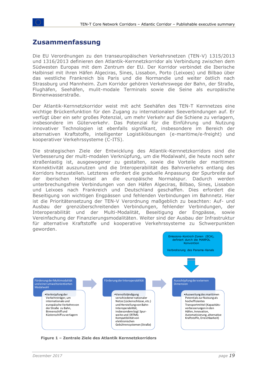### <span id="page-18-0"></span>**Zusammenfassung**

Die EU Verordnungen zu den transeuropäischen Verkehrsnetzen (TEN-V) 1315/2013 und 1316/2013 definieren den Atlantik-Kernnetzkorridor als Verbindung zwischen dem Südwesten Europas mit dem Zentrum der EU. Der Korridor verbindet die Iberische Halbinsel mit ihren Häfen Algeciras, Sines, Lissabon, Porto (Leixoes) und Bilbao über das westliche Frankreich bis Paris und die Normandie und weiter östlich nach Strassburg und Mannheim. Zum Korridor gehören Verkehrswege der Bahn, der Straße, Flughäfen, Seehäfen, mulit-modale Terminals sowie die Seine als europäische Binnenwasserstraße.

Der Atlantik-Kernnetzkorridor weist mit acht Seehäfen des TEN-T Kernnetzes eine wichtige Brückenfunktion für den Zugang zu internationalen Seeverbindungen auf. Er verfügt über ein sehr großes Potenzial, um mehr Verkehr auf die Schiene zu verlagern, insbesondere im Güterverkehr. Das Potenzial für die Einführung und Nutzung innovativer Technologien ist ebenfalls signifikant, insbesondere im Bereich der alternativen Kraftstoffe, intelligenter Logistiklösungen (e-maritime/e-freight) und kooperativer Verkehrssysteme (C-ITS).

Die strategischen Ziele der Entwicklung des Atlantik-Kernnetzkorridors sind die Verbesserung der multi-modalen Verknüpfung, um die Modalwahl, die heute noch sehr straßenlastig ist, ausgewogener zu gestalten, sowie die Vorteile der maritimen Konnektivität auszunutzen und die Interoperabilität des Bahnverkehrs entlang des Korridors herzustellen. Letzteres erfordert die graduelle Anpassung der Spurbreite auf der iberischen Halbinsel an die europäische Normalspur. Dadurch werden unterbrechungsfreie Verbindungen von den Häfen Algeciras, Bilbao, Sines, Lissabon und Leixoes nach Frankreich und Deutschland geschaffen. Dies erfordert die Beseitigung von wichtigen Engpässen und fehlenden Verbindungen im Bahnnetz. Hier ist die Prioritätensetzung der TEN-V Verordnung maßgeblich zu beachten: Auf- und Ausbau der grenzüberschreitenden Verbindungen, fehlender Verbindungen, der Interoperabilität und der Multi-Modalität, Beseitigung der Engpässe, sowie Vereinfachung der Finanzierungsmodalitäten. Weiter sind der Ausbau der Infrastruktur für alternative Kraftstoffe und kooperative Verkehrssysteme zu Schwerpunkten geworden.



**Figure 1 – Zentrale Ziele des Atlantik Kernnetzkorridors**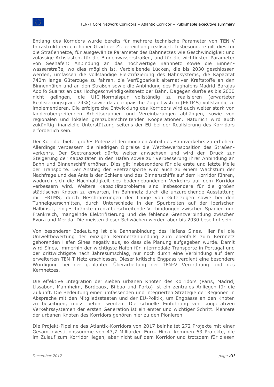Entlang des Korridors wurde bereits für mehrere technische Parameter von TEN-V Infrastrukturen ein hoher Grad der Zielerreichung realisiert. Insbesondere gilt dies für die Straßennetze, für ausgewählte Parameter des Bahnnetzes wie Geschwindigkeit und zulässige Achslasten, für die Binnenwasserstraßen, und für die wichtigsten Parameter von Seehäfen: Anbindung an das hochwertige Bahnnetz sowie die Binnenwasserstraße, wo dies möglich ist. Verbleibende Lücken, die bis 2030 geschlossen werden, umfassen die vollständige Elektrifizierung des Bahnsystems, die Kapazität 740m lange Güterzüge zu fahren, die Verfügbarkeit alternativer Kraftstoffe an den Binnenhäfen und an den Straßen sowie die Anbindung des Flughafens Madrid-Barajas Adolfo Suarez an das Hochgeschwindigkeitsnetz der Bahn. Dagegen dürfte es bis 2030 nicht gelingen, die UIC-Normalspur vollständig zu realisieren (erwarteter Realisierungsgrad: 74%) sowie das europäische Zugleitsystem (ERTMS) vollständig zu implementieren. Die erfolgreiche Entwicklung des Korridors wird auch weiter stark von länderübergreifenden Arbeitsgruppen und Vereinbarungen abhängen, sowie von regionalen und lokalen grenzüberschreitenden Kooperationen. Natürlich wird auch zukünftig finanzielle Unterstützung seitens der EU bei der Realisierung des Korridors erforderlich sein.

Der Korridor bietet großes Potenzial den modalen Anteil des Bahnverkehrs zu erhöhen. Allerdings verbessern die niedrigen Ölpreise die Wettbewerbsposition des Straßenverkehrs. Der Seetransport dürfte weiter anwachsen und wird den Druck zur Steigerung der Kapazitäten in den Häfen sowie zur Verbesserung ihrer Anbindung an Bahn und Binnenschiff erhöhen. Dies gilt insbesondere für die erste und letzte Meile der Transporte. Der Anstieg der Seetransporte wird auch zu einem Wachstum der Nachfrage und des Anteils der Schiene und des Binnenschiffs auf dem Korridor führen, wodurch sich die Nachhaltigkeit des bodengebundenen Verkehrs auf dem Korridor verbessern wird. Weitere Kapazitätsprobleme sind insbesondere für die großen städtischen Knoten zu erwarten, im Bahnnetz durch die unzureichende Ausstattung mit ERTMS, durch Beschränkungen der Länge von Güterzügen sowie bei den Tunnelquerschnitten, durch Unterschiede in der Spurbreiten auf der iberischen Halbinsel, eingeschränkte grenzüberschreitende Verbindungen zwischen Spanien und Frankreich, mangelnde Elektrifizierung und die fehlende Grenzverbindung zwischen Evora und Merida. Die meisten dieser Schwächen werden aber bis 2030 beseitigt sein.

Von besonderer Bedeutung ist die Bahnanbindung des Hafens Sines. Hier fiel die Umweltbewertung der einzigen Kernnetzanbindung zum ebenfalls zum Kernnetz gehörenden Hafen Sines negativ aus, so dass die Planung aufgegeben wurde. Damit wird Sines, immerhin der wichtigste Hafen für intermodale Transporte in Portugal und der drittwichtigste nach Jahresumschlag, nur noch durch eine Verbindung auf dem erweiterten TEN-T Netz erschlossen. Dieser kritische Engpass verdient eine besondere Würdigung bei der geplanten Überarbeitung der TEN-V Verordnung und des Kernnetzes.

Die effektive Integration der sieben urbanen Knoten des Korridors (Paris, Madrid, Lissabon, Mannheim, Bordeaux, Bilbao und Porto) ist ein zentrales Anliegen für die Zukunft. Die Bedeutung einer umfassenden und integrierten Strategie der Regionen in Absprache mit den Mitgliedsstaaten und der EU-Politik, um Engpässe an den Knoten zu beseitigen, muss betont werden. Die schnelle Einführung von kooperativen Verkehrssystemen der ersten Generation ist ein erster und wichtiger Schritt. Mehrere der urbanen Knoten des Korridors gehören hier zu den Pionieren.

Die Projekt-Pipeline des Atlantik-Korridors von 2017 beinhaltet 272 Projekte mit einer Gesamtinvestitionssumme von 43,7 Milliarden Euro. Hinzu kommen 63 Projekte, die im Zulauf zum Korridor liegen, aber nicht auf dem Korridor und trotzdem für diesen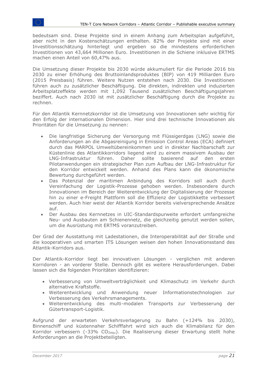bedeutsam sind. Diese Projekte sind in einem Anhang zum Arbeitsplan aufgeführt, aber nicht in den Kostenschätzungen enthalten. 82% der Projekte sind mit einer Investitionsschätzung hinterlegt und ergeben so die mindestens erforderlichen Investitionen von 43,664 Millionen Euro. Investitionen in die Schiene inklusive ERTMS machen einen Anteil von 60,47% aus.

Die Umsetzung dieser Projekte bis 2030 würde akkumuliert für die Periode 2016 bis 2030 zu einer Erhöhung des Bruttoinlandsproduktes (BIP) von 419 Milliarden Euro (2015 Preisbasis) führen. Weitere Nutzen entstehen nach 2030. Die Investitionen führen auch zu zusätzlicher Beschäftigung. Die direkten, indirekten und induzierten Arbeitsplatzeffekte werden mit 1,092 Tausend zusätzlichen Beschäftigungsjahren beziffert. Auch nach 2030 ist mit zusätzlicher Beschäftigung durch die Projekte zu rechnen.

Für den Atlantik Kernnetzkorridor ist die Umsetzung von Innovationen sehr wichtig für den Erfolg der internationalen Dimension. Hier sind drei technische Innovationen als Prioritäten für die Umsetzung zu nennen:

- Die langfristige Sicherung der Versorgung mit Flüssigerdgas (LNG) sowie die Anforderungen an die Abgasreinigung in Emission Control Areas (ECA) definiert durch das MARPOL Umweltübereinkommen und in direkter Nachbarschaft zur Küstenlinie des Atlantikkorridors liegend wird zu einem massivem Ausbau der LNG-Infrastruktur führen. Daher sollte basierend auf den ersten Pilotanwendungen ein strategischer Plan zum Aufbau der LNG-Infrastruktur für den Korridor entwickelt werden. Anhand des Plans kann die ökonomische Bewertung durchgeführt werden.
- Das Potenzial der maritimen Anbindung des Korridors soll auch durch Vereinfachung der Logistik-Prozesse gehoben werden. Insbesondere durch Innovationen im Bereich der Weiterentwicklung der Digitalisierung der Prozesse hin zu einer e-Freight Plattform soll die Effizienz der Logistikkette verbessert werden. Auch hier weist der Atlantik Korridor bereits vielversprechende Ansätze auf.
- Der Ausbau des Kernnetzes in UIC-Standardspurweite erfordert umfangreiche Neu- und Ausbauten am Schienennetz, die gleichzeitig genutzt werden sollen, um die Ausrüstung mit ERTMS voranzutreiben.

Der Grad der Ausstattung mit Ladestationen, die Interoperabilität auf der Straße und die kooperativen und smarten ITS Lösungen weisen den hohen Innovationsstand des Atlantik-Korridors aus.

Der Atlantik-Korridor liegt bei innovativen Lösungen - verglichen mit anderen Korridoren - an vorderer Stelle. Dennoch gibt es weitere Herausforderungen. Dabei lassen sich die folgenden Prioritäten identifizieren:

- Verbesserung von Umweltverträglichkeit und Klimaschutz im Verkehr durch alternative Kraftstoffe.
- Weiterentwicklung und Anwendung neuer Informationstechnologien zur Verbesserung des Verkehrsmanagements.
- Weiterentwicklung des multi-modalen Transports zur Verbesserung der Gütertransport-Logistik.

Aufgrund der erwarteten Verkehrsverlagerung zu Bahn (+124% bis 2030), Binnenschiff und küstennaher Schifffahrt wird sich auch die Klimabilanz für den Korridor verbessern (-33% CO<sub>2equ</sub>). Die Realisierung dieser Erwartung stellt hohe Anforderungen an die Projektbeteiligten.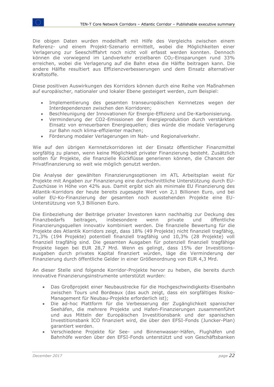Die obigen Daten wurden modellhaft mit Hilfe des Vergleichs zwischen einem Referenz- und einem Projekt-Szenario ermittelt, wobei die Möglichkeiten einer Verlagerung zur Seeschifffahrt noch nicht voll erfasst werden konnten. Dennoch können die vorwiegend im Landverkehr erzielbaren CO2-Einsparungen rund 33% erreichen, wobei die Verlagerung auf die Bahn etwa die Hälfte beitragen kann. Die andere Hälfte resultiert aus Effizienzverbesserungen und dem Einsatz alternativer Kraftstoffe.

Diese positiven Auswirkungen des Korridors können durch eine Reihe von Maßnahmen auf europäischer, nationaler und lokaler Ebene gesteigert werden, zum Beispiel:

- Implementierung des gesamten transeuropäischen Kernnetzes wegen der Interdependenzen zwischen den Korridoren;
- Beschleunigung der Innovationen für Energie-Effizienz und De-Karbonisierung.
- Verminderung der CO2-Emissionen der Energieproduktion durch verstärkten Einsatz von erneuerbaren Energiequellen; dies würde die modale Verlagerung zur Bahn noch klima-effizienter machen;
- Förderung modaler Verlagerungen im Nah- und Regionalverkehr.

Wie auf den übrigen Kernnetzkorridoren ist der Einsatz öffentlicher Finanzmittel sorgfältig zu planen, wenn keine Möglichkeit privater Finanzierung besteht. Zusätzlich sollten für Projekte, die finanzielle Rückflüsse generieren können, die Chancen der Privatfinanzierung so weit wie möglich genutzt werden.

Die Analyse der gewählten Finanzierungsoptionen im ATL Arbeitsplan weist für Projekte mit Angaben zur Finanzierung eine durchschnittliche Unterstützung durch EU-Zuschüsse in Höhe von 42% aus. Damit ergibt sich als minimale EU Finanzierung des Atlantik-Korridors der heute bereits zugesagte Wert von 2,1 Billionen Euro, und bei voller EU-Ko-Finanzierung der gesamten noch ausstehenden Projekte eine EU-Unterstützung von 9,3 Billionen Euro.

Die Einbeziehung der Beiträge privater Investoren kann nachhaltig zur Deckung des Finanzbedarfs beitragen, insbesondere wenn private und öffentliche Finanzierungsquellen innovativ kombiniert werden. Die finanzielle Bewertung für die Projekte des Atlantik Korridors zeigt, dass 18% (49 Projekte) nicht finanziell tragfähig, 71,3% (194 Projekte) potentiell finanziell tragfähig und 10,3% (28 Projekte) voll finanziell tragfähig sind. Die gesamten Ausgaben für potenziell finanziell tragfähige Projekte liegen bei EUR 28,7 Mrd. Wenn es gelingt, dass 15% der Investitionsausgaben durch privates Kapital finanziert würden, läge die Verminderung der Finanzierung durch öffentliche Gelder in einer Größenordnung von EUR 4,3 Mrd.

An dieser Stelle sind folgende Korridor-Projekte hervor zu heben, die bereits durch innovative Finanzierungsinstrumente unterstützt wurden:

- Das Großprojekt einer Neubaustrecke für die Hochgeschwindigkeits-Eisenbahn zwischen Tours und Bordeaux (das auch zeigt, dass ein sorgfältiges Risiko-Management für Neubau-Projekte erforderlich ist);
- Die ad-hoc Plattform für die Verbesserung der Zugänglichkeit spanischer Seehäfen, die mehrere Projekte und Hafen-Finanzierungen zusammenführt und aus Mitteln der Europäischen Investitionsbank und der spanischen Investitionsbank ICO finanziert wird, die über den EFSI-Fonds (Juncker-Plan) garantiert werden.
- Verschiedene Projekte für See- und Binnenwasser-Häfen, Flughäfen und Bahnhöfe werden über den EFSI-Fonds unterstützt und von Geschäftsbanken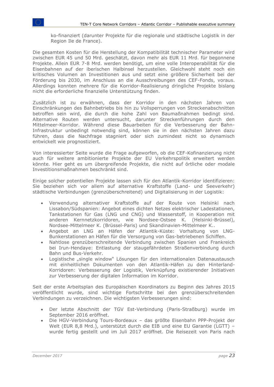ko-finanziert (darunter Projekte für die regionale und städtische Logistik in der Region Ile de France).

Die gesamten Kosten für die Herstellung der Kompatibilität technischer Parameter wird zwischen EUR 45 und 50 Mrd. geschätzt, davon mehr als EUR 11 Mrd. für begonnene Projekte. Allein EUR 7-8 Mrd. werden benötigt, um eine volle Interoperabilität für die Eisenbahnen auf der iberischen Halbinsel herzustellen. Gleichwohl steht noch ein kritisches Volumen an Investitionen aus und setzt eine größere Sicherheit bei der Förderung bis 2030, im Anschluss an die Ausschreibungen des CEF-Fonds, voraus. Allerdings konnten mehrere für die Korridor-Realisierung dringliche Projekte bislang nicht die erforderliche finanzielle Unterstützung finden.

Zusätzlich ist zu erwähnen, dass der Korridor in den nächsten Jahren von Einschränkungen des Bahnbetriebs bis hin zu Vollsperrungen von Streckenabschnitten betroffen sein wird, die durch die hohe Zahl von Baumaßnahmen bedingt sind. Alternative Routen werden untersucht, darunter Streckenführungen durch den Mittelmeer-Korridor. Während diese Bauarbeiten für die Verbesserung der Bahn-Infrastruktur unbedingt notwendig sind, können sie in den nächsten Jahren dazu führen, dass die Nachfrage stagniert oder sich zumindest nicht so dynamisch entwickelt wie prognostiziert.

Von interessierter Seite wurde die Frage aufgeworfen, ob die CEF-Kofinanzierung nicht auch für weitere ambitionierte Projekte der EU Verkehrspolitik erweitert werden könnte. Hier geht es um übergreifende Projekte, die nicht auf örtliche oder modale Investitionsmaßnahmen beschränkt sind.

Einige solcher potentiellen Projekte lassen sich für den Atlantik-Korridor identifizieren: Sie beziehen sich vor allem auf alternative Kraftstoffe (Land- und Seeverkehr) städtische Verbindungen (grenzüberschreitend) und Digitalisierung in der Logistik:

- Verwendung alternativer Kraftstoffe auf der Route von Helsinki nach Lissabon/Südspanien: Angebot eines dichten Netzes elektrischer Ladestationen, Tankstationen für Gas (LNG und CNG) und Wasserstoff, in Kooperation mit anderen Kernnetzkorridoren, wie Nordsee-Ostsee K. (Helsinki-Brüssel), Nordsee-Mittelmeer K. (Brüssel-Paris) und Skandinavien-Mittelmeer K..
- Angebot an LNG an Häfen der Atlantik-Küste: Vorhaltung von LNG-Bunkerstationen an Häfen für die Versorgung von Gas-betriebenen Schiffen.
- Nahtlose grenzüberschreitende Verbindung zwischen Spanien und Frankreich bei Irun-Hendaye: Entlastung der staugefährdeten Straßenverbindung durch Bahn und Bus-Verkehr.
- Logistische "single window" Lösungen für den internationalen Datenaustausch mit einheitlichen Dokumenten von den Atlantik-Häfen zu den Hinterland-Korridoren: Verbesserung der Logistik, Verknüpfung existierender Initiativen zur Verbesserung der digitalen Information im Korridor.

Seit der erste Arbeitsplan des Europäischen Koordinators zu Beginn des Jahres 2015 veröffentlicht wurde, sind wichtige Fortschritte bei den grenzüberschreitenden Verbindungen zu verzeichnen. Die wichtigsten Verbesserungen sind:

- Der letzte Abschnitt der TGV Est-Verbindung (Paris-Straßburg) wurde im September 2016 eröffnet.
- Die HGV-Verbindung Tours-Bordeaux das größte Eisenbahn PPP-Projekt der Welt (EUR 8,8 Mrd.), unterstützt durch die EIB und eine EU Garantie (LGTT) – wurde fertig gestellt und im Juli 2017 eröffnet. Die Reisezeit von Paris nach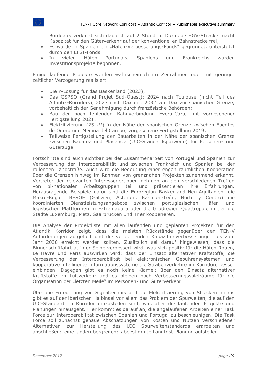Bordeaux verkürzt sich dadurch auf 2 Stunden. Die neue HGV-Strecke macht Kapazität für den Güterverkehr auf der konventionellen Bahnstrecke frei;

- Es wurde in Spanien ein "Hafen-Verbesserungs-Fonds" gegründet, unterstützt durch den EFSI-Fonds.
- In vielen Häfen Portugals, Spaniens und Frankreichs wurden Investitionsprojekte begonnen.

Einige laufende Projekte werden wahrscheinlich im Zeitrahmen oder mit geringer zeitlicher Verzögerung realisiert:

- Die Y-Lösung für das Baskenland (2023);
- Das GSPSO (Grand Projet Sud-Ouest): 2024 nach Toulouse (nicht Teil des Atlantik-Korridors), 2027 nach Dax und 2032 von Dax zur spanischen Grenze, vorbehaltlich der Genehmigung durch französische Behörden;
- Bau der noch fehlenden Bahnverbindung Evora-Cara, mit vorgesehener Fertigstellung 2021;
- Elektrifizierung (25 kV) in der Nähe der spanischen Grenze zwischen Fuentes de Onoro und Medina del Campo, vorgesehene Fertigstellung 2019;
- Teilweise Fertigstellung der Bauarbeiten in der Nähe der spanischen Grenze zwischen Badajoz und Plasencia (UIC-Standardspurweite) für Personen- und Güterzüge.

Fortschritte sind auch sichtbar bei der Zusammenarbeit von Portugal und Spanien zur Verbesserung der Interoperabilität und zwischen Frankreich und Spanien bei der rollenden Landstraße. Auch wird die Bedeutung einer engen räumlichen Kooperation über die Grenzen hinweg im Rahmen von grenznahen Projekten zunehmend erkannt. Vertreter der relevanten Interessengruppen nehmen an den verschiedenen Treffen von bi-nationalen Arbeitsgruppen teil und präsentieren ihre Erfahrungen. Herausragende Beispiele dafür sind die Euroregion Baskenland-Neu-Aquitanien, die Makro-Region RESOE (Galizien, Asturien, Kastilien-León, Norte y Centro) die koordinierten Dienstleistungsangebote zwischen portugiesischen Häfen und logistischen Plattformen in Extremadura oder die Großregion Quattropole in der die Städte Luxemburg, Metz, Saarbrücken und Trier kooperieren.

Die Analyse der Projektliste mit allen laufenden und geplanten Projekten für den Atlantik Korridor zeigt, dass die meisten Rückstände gegenüber den TEN-V Anforderungen aufgeholt und die verbleibenden Kapazitätsverbesserungen bis zum Jahr 2030 erreicht werden sollten. Zusätzlich sei darauf hingewiesen, dass die Binnenschifffahrt auf der Seine verbessert wird, was sich positiv für die Häfen Rouen, Le Havre und Paris auswirken wird; dass der Einsatz alternativer Kraftstoffe, die Verbesserung der Interoperabilität bei elektronischen Gebührensystemen und kooperative intelligente Informationssysteme die Straßenverkehre im Korridore besser einbinden. Dagegen gibt es noch keine Klarheit über den Einsatz alternativer Kraftstoffe im Luftverkehr und es bleiben noch Verbesserungsspielräume für die Organisation der "letzten Meile" im Personen- und Güterverkehr.

Über die Erneuerung von Signaltechnik und die Elektrifizierung von Strecken hinaus gibt es auf der iberischen Halbinsel vor allem das Problem der Spurweiten, die auf den UIC-Standard im Korridor umzustellen sind, was über die laufenden Projekte und Planungen hinausgeht. Hier kommt es darauf an, die angelaufenen Arbeiten einer Task Force zur Interoperabilität zwischen Spanien und Portugal zu beschleunigen. Die Task Force soll zunächst genaue Abschätzungen von Kosten und Nutzen verschiedener Alternativen zur Herstellung des UIC Spurweitenstandards erarbeiten und anschließend eine länderübergreifend abgestimmte Langfrist-Planung aufstellen.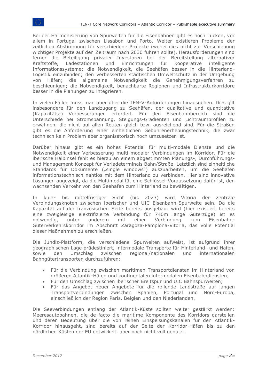Bei der Harmonisierung von Spurweiten für die Eisenbahnen gibt es noch Lücken, vor allem in Portugal zwischen Lissabon und Porto. Weiter existieren Probleme der zeitlichen Abstimmung für verschiedene Projekte (wobei dies nicht zur Verschiebung wichtiger Projekte auf den Zeitraum nach 2030 führen sollte). Herausforderungen sind ferner die Beteiligung privater Investoren bei der Bereitstellung alternativer Kraftstoffe, Ladestationen und Einrichtungen für kooperative intelligente Informationssysteme; die Notwendigkeit, die Seehäfen besser in die Hinterland-Logistik einzubinden; den verbesserten städtischen Umweltschutz in der Umgebung von Häfen; die allgemeine Notwendigkeit die Genehmigungsverfahren zu beschleunigen; die Notwendigkeit, benachbarte Regionen und Infrastrukturkorridore besser in die Planungen zu integrieren.

In vielen Fällen muss man aber über die TEN-V-Anforderungen hinausgehen. Dies gilt insbesondere für den Landzugang zu Seehäfen, der qualitative und quantitative (Kapazitäts-) Verbesserungen erfordert. Für den Eisenbahnbereich sind die Unterschiede bei Stromspannung, Steigungs-Gradienten und Lichtraumprofilen zu erwähnen, die nicht auf allen Routen gleich bzw. ausreichend sind. Für die Straßen gibt es die Anforderung einer einheitlichen Gebührenerhebungstechnik, die zwar technisch kein Problem aber organisatorisch noch umzusetzen ist.

Darüber hinaus gibt es ein hohes Potential für multi-modale Dienste und die Notwendigkeit einer Verbesserung multi-modaler Verbindungen im Korridor. Für die iberische Halbinsel fehlt es hierzu an einem abgestimmten Planungs-, Durchführungsund Management-Konzept für Verladeterminals Bahn/Straße. Letztlich sind einheitliche Standards für Dokumente ("single windows") auszuarbeiten, um die Seehäfen informationstechnisch nahtlos mit dem Hinterland zu verbinden. Hier sind innovative Lösungen angezeigt, da die Multimodalität eine Schlüssel-Voraussetzung dafür ist, den wachsenden Verkehr von den Seehäfen zum Hinterland zu bewältigen.

In kurz- bis mittelfristiger Sicht (bis 2023) wird Vitoria der zentrale Verbindungsknoten zwischen iberischer und UIC Eisenbahn-Spurweite sein. Da die Kapazität auf der französischen Seite bereits ausgebaut wird (hier existiert bereits eine zweigleisige elektrifizierte Verbindung für 740m lange Güterzüge) ist es notwendig, unter anderem mit einer Verbindung zum Eisenbahn-Güterverkehrskorridor im Abschnitt Zaragoza-Pamplona-Vitoria, das volle Potential dieser Maßnahmen zu erschließen.

Die Jundiz-Plattform, die verschiedene Spurweiten aufweist, ist aufgrund ihrer geographischen Lage prädestiniert, intermodale Transporte für Hinterland- und Häfen, sowie den Umschlag zwischen regional/nationalen und internationalen Bahngütertransporten durchzuführen:

- Für die Verbindung zwischen maritimen Transportdiensten im Hinterland von größeren Atlantik-Häfen und kontinentalen intermodalen Eisenbahndiensten;
- Für den Umschlag zwischen iberischer Breitspur und UIC Bahnspurweiten;
- Für das Angebot neuer Angebote für die rollende Landstraße auf langen Transportverbindungen zwischen Spanien, Portugal und Nord-Europa, einschließlich der Region Paris, Belgien und den Niederlanden.

Die Seeverbindungen entlang der Atlantik-Küste sollten weiter gestärkt werden: Meeresautobahnen, die de facto die maritime Komponente des Korridors darstellen und deren Bedeutung über die von reinen Einspeisungskanälen für den Atlantik-Korridor hinausgeht, sind bereits auf der Seite der Korridor-Häfen bis zu den nördlichen Küsten der EU entwickelt, aber noch nicht voll genutzt.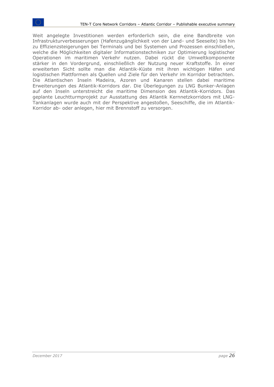Weit angelegte Investitionen werden erforderlich sein, die eine Bandbreite von Infrastrukturverbesserungen (Hafenzugänglichkeit von der Land- und Seeseite) bis hin zu Effizienzsteigerungen bei Terminals und bei Systemen und Prozessen einschließen, welche die Möglichkeiten digitaler Informationstechniken zur Optimierung logistischer Operationen im maritimen Verkehr nutzen. Dabei rückt die Umweltkomponente stärker in den Vordergrund, einschließlich der Nutzung neuer Kraftstoffe. In einer erweiterten Sicht sollte man die Atlantik-Küste mit ihren wichtigen Häfen und logistischen Plattformen als Quellen und Ziele für den Verkehr im Korridor betrachten. Die Atlantischen Inseln Madeira, Azoren und Kanaren stellen dabei maritime Erweiterungen des Atlantik-Korridors dar. Die Überlegungen zu LNG Bunker-Anlagen auf den Inseln unterstreicht die maritime Dimension des Atlantik-Korridors. Das geplante Leuchtturmprojekt zur Ausstattung des Atlantik Kernnetzkorridors mit LNG-Tankanlagen wurde auch mit der Perspektive angestoßen, Seeschiffe, die im Atlantik-Korridor ab- oder anlegen, hier mit Brennstoff zu versorgen.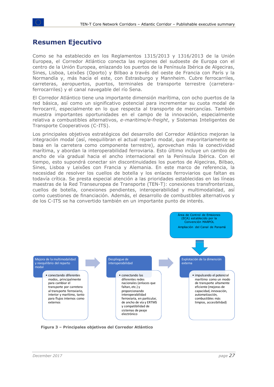## <span id="page-26-0"></span>**Resumen Ejecutivo**

Como se ha establecido en los Reglamentos 1315/2013 y 1316/2013 de la Unión Europea, el Corredor Atlántico conecta las regiones del sudoeste de Europa con el centro de la Unión Europea, enlazando los puertos de la Península Ibérica de Algeciras, Sines, Lisboa, Leixões (Oporto) y Bilbao a través del oeste de Francia con París y la Normandía y, más hacia el este, con Estrasburgo y Mannheim. Cubre ferrocarriles, carreteras, aeropuertos, puertos, terminales de transporte terrestre (carreteraferrocarriles) y el canal navegable del río Sena.

El Corredor Atlántico tiene una importante dimensión marítima, con ocho puertos de la red básica, así como un significativo potencial para incrementar su cuota modal de ferrocarril, especialmente en lo que respecta al transporte de mercancías. También muestra importantes oportunidades en el campo de la innovación, especialmente relativa a combustibles alternativos, *e-maritime/e-freight*, y Sistemas Inteligentes de Transporte Cooperativos (C-ITS).

Los principales objetivos estratégicos del desarrollo del Corredor Atlántico mejoran la integración modal (así, reequilibran el actual reparto modal, que mayoritariamente se basa en la carretera como componente terrestre), aprovechan más la conectividad marítima, y abordan la interoperabilidad ferroviaria. Esto último incluye un cambio de ancho de vía gradual hacia el ancho internacional en la Península Ibérica. Con el tiempo, esto supondrá conectar sin discontinuidades los puertos de Algeciras, Bilbao, Sines, Lisboa y Leixões con Francia y Alemania. En este marco de referencia, la necesidad de resolver los cuellos de botella y los enlaces ferroviarios que faltan es todavía crítica. Se presta especial atención a las prioridades establecidas en las líneas maestras de la Red Transeuropea de Transporte (TEN-T): conexiones transfronterizas, cuellos de botella, conexiones pendientes, interoperabilidad y multimodalidad, así como cuestiones de financiación. Además, el desarrollo de combustibles alternativos y de los C-ITS se ha convertido también en un importante punto de interés.



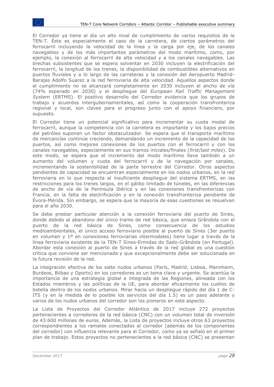El Corredor ya tiene al día un alto nivel de cumplimiento de varios requisitos de la TEN-T. Éste es especialmente el caso de la carretera, de ciertos parámetros del ferrocarril incluyendo la velocidad de la línea y la carga por eje, de los canales navegables y de los más importantes parámetros del modo marítimo, como, por ejemplo, la conexión al ferrocarril de alta velocidad y a los canales navegables. Las brechas subsistentes que se espera solventar en 2030 incluyen la electrificación del ferrocarril, la longitud de los trenes, la disponibilidad de combustibles alternativos en puertos fluviales y a lo largo de las carreteras y la conexión del Aeropuerto Madrid-Barajas Adolfo Suarez a la red ferroviaria de alta velocidad. Aquellos aspectos donde el cumplimiento no se alcanzará completamente en 2030 incluyen el ancho de vía (74% esperado en 2030) y el despliegue del *European Rail Traffic Management System* (ERTMS). El positivo desarrollo del Corredor evidencia que los grupos de trabajo y acuerdos intergubernamentales, así como la cooperación transfronteriza regional y local, son claves para el progreso junto con el apoyo financiero, por supuesto.

El Corredor tiene un potencial significativo para incrementar su cuota modal de ferrocarril, aunque la competencia con la carretera es importante y los bajos precios del petróleo suponen un factor obstaculizador. Se espera que el transporte marítimo de mercancías continúe creciendo, demandando un incremento de la capacidad de los puertos, así como mejores conexiones de los puertos con el ferrocarril y con los canales navegables, especialmente en sus tramos iniciales/finales (*first/last miles*). De este modo, se espera que el incremento del modo marítimo lleve también a un aumento del volumen y cuota del ferrocarril y de la navegación por canales, incrementando la sostenibilidad de la parte terrestre del Corredor. Otros aspectos pendientes de capacidad se encuentran especialmente en los nodos urbanos, en la red ferroviaria en lo que respecta al insuficiente despliegue del sistema ERTMS, en las restricciones para los trenes largos, en el gálibo limitado de túneles, en las diferencias de ancho de vía de la Península Ibérica y en las conexiones transfronterizas con Francia, en la falta de electrificación y en la conexión transfronteriza pendiente de Évora-Mérida. Sin embargo, se espera que la mayoría de esas cuestiones se resuelvan para el año 2030.

Se debe prestar particular atención a la conexión ferroviaria del puerto de Sines, donde debido al abandono del único tramo de red básica, que enlaza Grândola con el puerto de la red básica de Sines, como consecuencia de los estudios medioambientales, el único acceso ferroviario posible al puerto de Sines (3er puerto en volumen y 1º en conexiones ferroviarias intermodales) tiene lugar a través de la línea ferroviaria existente de la TEN-T Sines-Ermidas do Sado-Grândola (en Portugal). Abordar esta conexión al puerto de Sines a través de la red global es una cuestión crítica que conviene ser mencionada y que excepcionalmente debe ser solucionada en la futura revisión de la red.

La integración efectiva de los siete nudos urbanos (París, Madrid, Lisboa, Mannheim, Burdeos, Bilbao y Oporto) en los corredores es un tema clave y urgente. Se acentúa la importancia de una estrategia global e integrada de las Regiones, alineada con los Estados miembros y las políticas de la UE, para abordar eficazmente los cuellos de botella dentro de los nodos urbanos. Mirar hacia un despliegue rápido del día 1 de C-ITS (y en la medida de lo posible los servicios del día 1.5) es un paso adelante y varios de los nudos urbanos del corredor son los pioneros en este aspecto.

La Lista de Proyectos del Corredor Atlántico de 2017 incluye 272 proyectos pertenecientes a corredores de la red básica (CNC) con un volumen total de inversión de 43.600 millones de euros. Además, la Lista de proyectos incluye otros 63 proyectos correspondientes a los ramales conectados al corredor (además de los componentes del corredor) con influencia relevante para el Corredor, como ya se señaló en el primer plan de trabajo. Estos proyectos no pertenecientes a la red básica (CNC) se presentan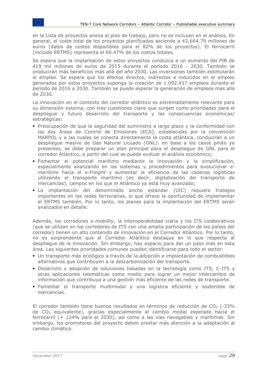en la Lista de proyectos anexa al plan de trabajo, pero no se incluyen en el análisis. En general, el coste total de los proyectos planificados asciende a 43,664.79 millones de euros (datos de costos disponibles para el 82% de los proyectos). El ferrocarril (incluido ERTMS) representa el 60.47% de los costos totales.

Se espera que la implantación de estos proyectos conduzca a un aumento del PIB de 419 mil millones de euros de 2015 durante el período 2016 - 2030. También se producirán más beneficios más allá del año 2030. Las inversiones también estimularán el empleo. Se espera que los efectos directos, indirectos e inducidos en el empleo generados por estos proyectos suponga la creación de 1.092.437 empleos durante el período de 2016 a 2030. También se puede esperar la generación de empleos más allá de 2030.

La innovación en el contexto del corredor atlántico es extremadamente relevante para su dimensión externa, con tres cuestiones clave que surgen como prioridades para el despliegue y futuro desarrollo del transporte y las consecuencias económicas/ estratégicas:

- Preocupación de que la seguridad del suministro a largo plazo y la conformidad con las dos Áreas de Control de Emisiones (ECA), establecidas por la convención MARPOL y a las cuales se conecta directamente la costa atlántica, conducirán a un despliegue masivo de Gas Natural Licuado (GNL): en base a los casos piloto ya presentes, se debe preparar un plan principal para el despliegue de GNL para el corredor Atlántico, a partir del cual se puede evaluar el análisis económico;
- Fomentar el potencial marítimo mediante la innovación y la simplificación, especialmente avanzando en los sistemas y procedimientos para evolucionar *emaritime* hacia el *e-Freight* y aumentar la eficiencia de las cadenas logísticas utilizando el transporte marítimo (es decir, digitalización del transporte de mercancías), campos en los que el Atlántico ya está muy avanzado;
- La implantación del denominado ancho estándar (UIC) requiere trabajos importantes en las redes ferroviarias, lo que ofrece la oportunidad de implementar el ERTMS también. Por lo tanto, los planes para la implantación del ERTMS serán analizados en detalle.

Además, los corredores *e-mobility*, la interoperabilidad viaria y los ITS colaborativos (que se utilizan en los corredores de ITS con una amplia participación de los países del corredor) tienen un alto contenido de innovación en el Corredor Atlántico. Por lo tanto, no es sorprendente que el Corredor Atlántico destaque en lo que respecta al despliegue de la innovación. Sin embargo, hay espacio para dar un paso más en esta área. Las siguientes prioridades comunes pueden identificarse para todo el sector:

- Un transporte más ecológico a través de la adopción e implantación de combustibles alternativos que contribuyen a la descarbonización del transporte.
- Desarrollo y adopción de soluciones basadas en la tecnología como ITS, C-ITS y otras aplicaciones telemáticas como medio para lograr un mejor intercambio de información que contribuya a una gestión más eficiente de las redes de transporte.
- Fomentar el transporte multimodal y una logística eficiente y sostenible de mercancías.

El corredor también tiene buenos resultados en términos de reducción de  $CO<sub>2</sub>$  (-33%) de CO<sup>2</sup> equivalente), gracias especialmente al cambio modal esperado hacia el ferrocarril (+ 124% para el 2030), así como a las vías navegables y marítimas. Sin embargo, los promotores del proyecto deben prestar más atención a la adaptación al cambio climático.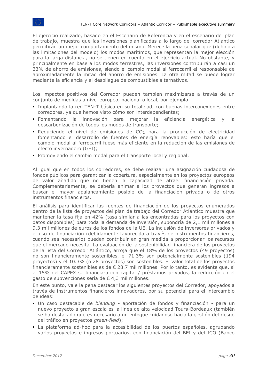El ejercicio realizado, basado en el Escenario de Referencia y en el escenario del plan de trabajo, muestra que las inversiones planificadas a lo largo del corredor Atlántico permitirán un mejor comportamiento del mismo. Merece la pena señalar que (debido a las limitaciones del modelo) los modos marítimos, que representan la mejor elección para la larga distancia, no se tienen en cuenta en el ejercicio actual. No obstante, y principalmente en base a los modos terrestres, las inversiones contribuirán a casi un 33% de ahorro de emisiones, siendo el cambio modal al ferrocarril el responsable de aproximadamente la mitad del ahorro de emisiones. La otra mitad se puede lograr mediante la eficiencia y el despliegue de combustibles alternativos.

Los impactos positivos del Corredor pueden también maximizarse a través de un conjunto de medidas a nivel europeo, nacional o local, por ejemplo:

- **· Implantando la red TEN-T básica en su totalidad, con buenas interconexiones entre** corredores, ya que hemos visto cómo son interdependientes;
- Fomentando la innovación para mejorar la eficiencia energética y la descarbonización de todos los modos de transporte;
- Reduciendo el nivel de emisiones de CO<sup>2</sup> para la producción de electricidad fomentando el desarrollo de fuentes de energía renovables: esto haría que el cambio modal al ferrocarril fuese más eficiente en la reducción de las emisiones de efecto invernadero (GEI);
- Promoviendo el cambio modal para el transporte local y regional.

Al igual que en todos los corredores, se debe realizar una asignación cuidadosa de fondos públicos para garantizar la cobertura, especialmente en los proyectos europeos de valor añadido que no tienen la capacidad de atraer financiación privada. Complementariamente, se debería animar a los proyectos que generan ingresos a buscar el mayor apalancamiento posible de la financiación privada o de otros instrumentos financieros.

El análisis para identificar las fuentes de financiación de los proyectos enumerados dentro de la lista de proyectos del plan de trabajo del Corredor Atlántico muestra que mantener la tasa fija en 42% (tasa similar a las encontradas para los proyectos con datos disponibles) para toda la demanda de inversión, supondría de 2,1 mil millones a 9,3 mil millones de euros de los fondos de la UE. La inclusión de inversores privados y el uso de financiación (debidamente favorecida a través de instrumentos financieros, cuando sea necesario) pueden contribuir en gran medida a proporcionar los recursos que el mercado necesita. La evaluación de la sostenibilidad financiera de los proyectos de la lista del Corredor Atlántico, arroja que el 18% de los proyectos (49 proyectos) no son financieramente sostenibles, el 71.3% son potencialmente sostenibles (194 proyectos) y el 10.3% (o 28 proyectos) son sostenibles. El valor total de los proyectos financieramente sostenibles es de € 28.7 mil millones. Por lo tanto, es evidente que, si el 15% del CAPEX se financiara con capital / préstamos privados, la reducción en el gasto de subvenciones sería de € 4,3 mil millones.

En este punto, vale la pena destacar los siguientes proyectos del Corredor, apoyados a través de instrumentos financieros innovadores, por su potencial para el intercambio de ideas:

- Un caso destacable de *blending* aportación de fondos y financiación para un nuevo proyecto a gran escala es la línea de alta velocidad Tours-Bordeaux (también se ha destacado que es necesario a un enfoque cuidadoso hacia la gestión del riesgo del tráfico en proyectos *green-field*);
- La plataforma ad-hoc para la accesibilidad de los puertos españoles, agrupando varios proyectos e ingresos portuarios, con financiación del BEI y del ICO (Banco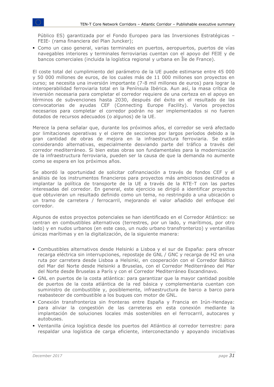Público ES) garantizada por el Fondo Europeo para las Inversiones Estratégicas – FEIE- (rama financiera del Plan Juncker);

▪ Como un caso general, varias terminales en puertos, aeropuertos, puertos de vías navegables interiores y terminales ferroviarias cuentan con el apoyo del FEIE y de bancos comerciales (incluida la logística regional y urbana en Île de France).

El coste total del cumplimiento del parámetro de la UE puede estimarse entre 45 000 y 50 000 millones de euros, de los cuales más de 11 000 millones son proyectos en curso; se necesita una inversión importante (7-8 mil millones de euros) para lograr la interoperabilidad ferroviaria total en la Península Ibérica. Aun así, la masa crítica de inversión necesaria para completar el corredor requiere de una certeza en el apoyo en términos de subvenciones hasta 2030, después del éxito en el resultado de las convocatorias de ayudas CEF (Connecting Europe Facility). Varios proyectos necesarios para completar el corredor podrán no ser implementados si no fueren dotados de recursos adecuados (o algunos) de la UE.

Merece la pena señalar que, durante los próximos años, el corredor se verá afectado por limitaciones operativas y el cierre de secciones por largos períodos debido a la gran cantidad de obras de mejora en la infraestructura ferroviaria. Se están considerando alternativas, especialmente desviando parte del tráfico a través del corredor mediterráneo. Si bien estas obras son fundamentales para la modernización de la infraestructura ferroviaria, pueden ser la causa de que la demanda no aumente como se espera en los próximos años.

Se abordó la oportunidad de solicitar cofinanciación a través de fondos CEF y el análisis de los instrumentos financieros para proyectos más ambiciosos destinados a implantar la política de transporte de la UE a través de la RTE-T con las partes interesadas del corredor. En general, este ejercicio se dirigió a identificar proyectos que obtuvieran un resultado definido como un tema, no restringido a una ubicación o un tramo de carretera / ferrocarril, mejorando el valor añadido del enfoque del corredor.

Algunos de estos proyectos potenciales se han identificado en el Corredor Atlántico: se centran en combustibles alternativos (terrestres, por un lado, y marítimos, por otro lado) y en nudos urbanos (en este caso, un nudo urbano transfronterizo) y ventanillas únicas marítimas y en la digitalización, de la siguiente manera:

- Combustibles alternativos desde Helsinki a Lisboa y el sur de España: para ofrecer recarga eléctrica sin interrupciones, repostaje de GNL / GNC y recarga de H2 en una ruta por carretera desde Lisboa a Helsinki, en cooperación con el Corredor Báltico del Mar del Norte desde Helsinki a Bruselas, con el Corredor Mediterráneo del Mar del Norte desde Bruselas a París y con el Corredor Mediterráneo Escandinavo.
- GNL en puertos de la costa atlántica: para garantizar que la mayor cantidad posible de puertos de la costa atlántica de la red básica y complementaria cuentan con suministro de combustible y, posiblemente, infraestructura de barco a barco para reabastecer de combustible a los buques con motor de GNL.
- Conexión transfronteriza sin fronteras entre España y Francia en Irún-Hendaya: para aliviar la congestión de las carreteras en esta conexión mediante la implantación de soluciones locales más sostenibles en el ferrocarril, autocares y autobuses.
- Ventanilla única logística desde los puertos del Atlántico al corredor terrestre: para respaldar una logística de carga eficiente, interconectando y apoyando iniciativas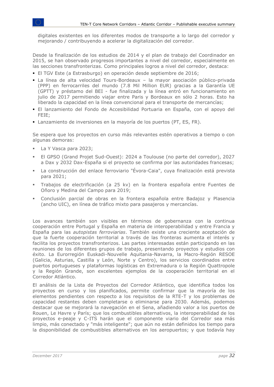digitales existentes en los diferentes modos de transporte a lo largo del corredor y mejorando / contribuyendo a acelerar la digitalización del corredor.

Desde la finalización de los estudios de 2014 y el plan de trabajo del Coordinador en 2015, se han observado progresos importantes a nivel del corredor, especialmente en las secciones transfronterizas. Como principales logros a nivel del corredor, destaca:

- El TGV Este (a Estrasburgo) en operación desde septiembre de 2016;
- La línea de alta velocidad Tours-Bordeaux la mayor asociación público-privada (PPP) en ferrocarriles del mundo (7.8 Mil Million EUR) gracias a la Garantía UE (GPTT) y préstamo del BEI - fue finalizada y la línea entró en funcionamiento en julio de 2017 permitiendo viajar entre Paris y Bordeaux en sólo 2 horas. Esto ha liberado la capacidad en la línea convencional para el transporte de mercancías;
- El lanzamiento del Fondo de Accesibilidad Portuaria en España, con el apoyo del FEIE;
- Lanzamiento de inversiones en la mayoría de los puertos (PT, ES, FR).

Se espera que los proyectos en curso más relevantes estén operativos a tiempo o con algunas demoras:

- La Y Vasca para 2023;
- El GPSO (Grand Projet Sud-Ouest): 2024 a Toulouse (no parte del corredor), 2027 a Dax y 2032 Dax-España si el proyecto se confirma por las autoridades francesas;
- La construcción del enlace ferroviario "Évora-Caia", cuya finalización está prevista para 2021;
- Trabajos de electrificación (a 25 kv) en la frontera española entre Fuentes de Oñoro y Medina del Campo para 2019;
- Conclusión parcial de obras en la frontera española entre Badajoz y Plasencia (ancho UIC), en línea de tráfico mixto para pasajeros y mercancías.

Los avances también son visibles en términos de gobernanza con la continua cooperación entre Portugal y España en materia de interoperabilidad y entre Francia y España para las *autopistas ferroviarias*. También existe una creciente aceptación de que la fuerte cooperación territorial a través de las fronteras aumenta el interés y facilita los proyectos transfronterizos. Las partes interesadas están participando en las reuniones de los diferentes grupos de trabajo, presentando proyectos y estudios con éxito. La Eurorregión Euskadi-Nouvelle Aquitania-Navarra, la Macro-Región RESOE (Galicia, Asturias, Castilla y León, Norte y Centro), los servicios coordinados entre puertos portugueses y plataformas logísticas en Extremadura o la Región Quattropole y la Región Grande, son excelentes ejemplos de la cooperación territorial en el Corredor Atlántico.

El análisis de la Lista de Proyectos del Corredor Atlántico, que identifica todos los proyectos en curso y los planificados, permite confirmar que la mayoría de los elementos pendientes con respecto a los requisitos de la RTE-T y los problemas de capacidad restantes deben completarse o eliminarse para 2030. Además, podemos destacar que se mejorará la navegación en el Sena, añadiendo valor a los puertos de Rouen, Le Havre y París; que los combustibles alternativos, la interoperabilidad de los proyectos e-peaje y C-ITS harán que el componente viario del Corredor sea más limpio, más conectado y "más inteligente"; que aún no están definidos los tiempo para la disponibilidad de combustibles alternativos en los aeropuertos; y que todavía hay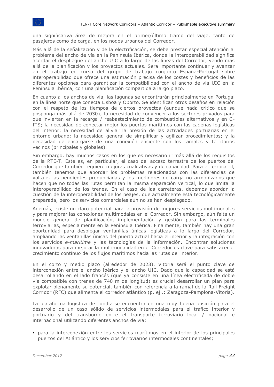una significativa área de mejora en el primer/último tramo del viaje, tanto de pasajeros como de carga, en los nodos urbanos del Corredor.

Más allá de la señalización y de la electrificación, se debe prestar especial atención al problema del ancho de vía en la Península Ibérica, donde la interoperabilidad significa acordar el despliegue del ancho UIC a lo largo de las líneas del Corredor, yendo más allá de la planificación y los proyectos actuales. Será importante continuar y avanzar en el trabajo en curso del grupo de trabajo conjunto España-Portugal sobre interoperabilidad que ofrece una estimación precisa de los costes y beneficios de las diferentes opciones para garantizar la compatibilidad con el ancho de vía UIC en la Península Ibérica, con una planificación compartida a largo plazo.

En cuanto a los anchos de vía, las lagunas se encontrarán principalmente en Portugal en la línea norte que conecta Lisboa y Oporto. Se identifican otros desafíos en relación con el respeto de los tiempos de ciertos proyectos (aunque nada crítico que se posponga más allá de 2030); la necesidad de convencer a los sectores privados para que inviertan en la recarga / reabastecimiento de combustibles alternativos y en C-ITS; la necesidad de conectar mejor los puertos marítimos con las cadenas logísticas del interior; la necesidad de aliviar la presión de las actividades portuarias en el entorno urbano; la necesidad general de simplificar y agilizar procedimientos; y la necesidad de encargarse de una conexión eficiente con los ramales y territorios vecinos (principales y globales).

Sin embargo, hay muchos casos en los que es necesario ir más allá de los requisitos de la RTE-T. Este es, en particular, el caso del acceso terrestre de los puertos del Corredor que también requiere mejoras cualitativas y de capacidad. Para el ferrocarril, también tenemos que abordar los problemas relacionados con las diferencias de voltaje, las pendientes pronunciadas y los medidores de carga no armonizados que hacen que no todas las rutas permitan la misma separación vertical, lo que limita la interoperabilidad de los trenes. En el caso de las carreteras, debemos abordar la cuestión de la interoperabilidad de los peajes, que actualmente está tecnológicamente preparada, pero los servicios comerciales aún no se han desplegado.

Además, existe un claro potencial para la provisión de mejores servicios multimodales y para mejorar las conexiones multimodales en el Corredor. Sin embargo, aún falta un modelo general de planificación, implementación y gestión para las terminales ferroviarias, especialmente en la Península Ibérica. Finalmente, también hay una gran oportunidad para desplegar ventanillas únicas logísticas a lo largo del Corredor, ampliando las ventanillas únicas del puerto actual hacia el interior y la integración con los servicios *e-maritime* y las tecnologías de la información. Encontrar soluciones innovadoras para mejorar la multimodalidad en el Corredor es clave para satisfacer el crecimiento continuo de los flujos marítimos hacia las rutas del interior.

En el corto y medio plazo (alrededor de 2023), Vitoria será el punto clave de interconexión entre el ancho ibérico y el ancho UIC. Dado que la capacidad se está desarrollando en el lado francés (que ya consiste en una línea electrificada de doble vía compatible con trenes de 740 m de longitud) es crucial desarrollar un plan para explotar plenamente su potencial, también con referencia a la ramal de la Rail Freight Corridor (RFC) que alimenta el corredor atlántico (p. ej .: Zaragoza-Pamplona-Vitoria).

La plataforma logística de Jundiz se encuentra en una muy buena posición para el desarrollo de un caso sólido de servicios intermodales para el tráfico interior y portuario y del transbordo entre el transporte ferroviario local / nacional e internacional utilizando diferentes anchos de vía:

▪ para la interconexión entre los servicios marítimos en el interior de los principales puertos del Atlántico y los servicios ferroviarios intermodales continentales;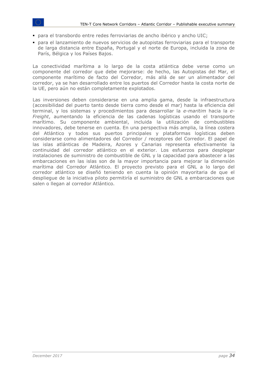- para el transbordo entre redes ferroviarias de ancho ibérico y ancho UIC;
- para el lanzamiento de nuevos servicios de autopistas ferroviarias para el transporte de larga distancia entre España, Portugal y el norte de Europa, incluida la zona de París, Bélgica y los Países Bajos.

La conectividad marítima a lo largo de la costa atlántica debe verse como un componente del corredor que debe mejorarse: de hecho, las Autopistas del Mar, el componente marítimo de facto del Corredor, más allá de ser un alimentador del corredor, ya se han desarrollado entre los puertos del Corredor hasta la costa norte de la UE, pero aún no están completamente explotados.

Las inversiones deben considerarse en una amplia gama, desde la infraestructura (accesibilidad del puerto tanto desde tierra como desde el mar) hasta la eficiencia del terminal, y los sistemas y procedimientos para desarrollar la *e-maritim* hacia la *e-Freight*, aumentando la eficiencia de las cadenas logísticas usando el transporte marítimo. Su componente ambiental, incluida la utilización de combustibles innovadores, debe tenerse en cuenta. En una perspectiva más amplia, la línea costera del Atlántico y todos sus puertos principales y plataformas logísticas deben considerarse como alimentadores del Corredor / receptores del Corredor. El papel de las islas atlánticas de Madeira, Azores y Canarias representa efectivamente la continuidad del corredor atlántico en el exterior. Los esfuerzos para desplegar instalaciones de suministro de combustible de GNL y la capacidad para abastecer a las embarcaciones en las islas son de la mayor importancia para mejorar la dimensión marítima del Corredor Atlántico. El proyecto previsto para el GNL a lo largo del corredor atlántico se diseñó teniendo en cuenta la opinión mayoritaria de que el despliegue de la iniciativa piloto permitiría el suministro de GNL a embarcaciones que salen o llegan al corredor Atlántico.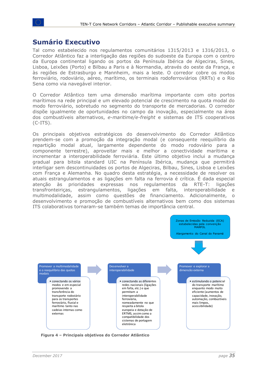#### <span id="page-34-0"></span>**Sumário Executivo**

Tal como estabelecido nos regulamentos comunitários 1315/2013 e 1316/2013, o Corredor Atlântico faz a interligação das regiões do sudoeste da Europa com o centro da Europa continental ligando os portos da Península Ibérica de Algeciras, Sines, Lisboa, Leixões (Porto) e Bilbau a Paris e à Normandia, através do oeste da França, e às regiões de Estrasburgo e Mannheim, mais a leste. O corredor cobre os modos ferroviário, rodoviário, aéreo, marítimo, os terminais rodoferroviários (RRTs) e o Rio Sena como via navegável interior.

O Corredor Atlântico tem uma dimensão marítima importante com oito portos marítimos na rede principal e um elevado potencial de crescimento na quota modal do modo ferroviário, sobretudo no segmento do transporte de mercadorias. O corredor dispõe igualmente de oportunidades no campo da inovação, especialmente na área dos combustíveis alternativos, *e-maritime/e-freight* e sistemas de ITS cooperativos (C-ITS).

Os principais objetivos estratégicos do desenvolvimento do Corredor Atlântico prendem-se com a promoção da integração modal (e consequente reequilíbrio da repartição modal atual, largamente dependente do modo rodoviário para a componente terrestre), aproveitar mais e melhor a conectividade marítima e incrementar a interoperabilidade ferroviária. Este último objetivo inclui a mudança gradual para bitola standard UIC na Península Ibérica, mudança que permitirá interligar sem descontinuidades os portos de Algeciras, Bilbau, Sines, Lisboa e Leixões com França e Alemanha. No quadro desta estratégia, a necessidade de resolver os atuais estrangulamentos e as ligações em falta na ferrovia é crítica. É dada especial atenção às prioridades expressas nos regulamentos da RTE-T: ligações transfronteiriças, estrangulamentos, ligações em falta, interoperabilidade e multimodalidade, assim como questões de financiamento. Adicionalmente, o desenvolvimento e promoção de combustíveis alternativos bem como dos sistemas ITS colaborativos tornaram-se também temas de importância central.



**Figura 4 – Principais objetivos do Corredor Atlântico**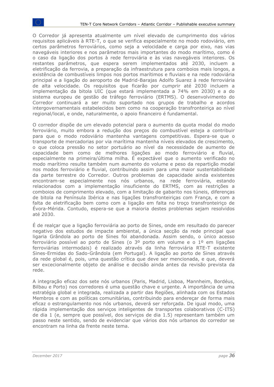O Corredor já apresenta atualmente um nível elevado de cumprimento dos vários requisitos aplicáveis à RTE-T, o que se verifica especialmente no modo rodoviário, em certos parâmetros ferroviários, como seja a velocidade e carga por eixo, nas vias navegáveis interiores e nos parâmetros mais importantes do modo marítimo, como é o caso da ligação dos portos à rede ferroviária e às vias navegáveis interiores. Os restantes parâmetros, que espera serem implementados até 2030, incluem a eletrificação da ferrovia, a preparação da infraestrutura para comboios mais longos, a existência de combustíveis limpos nos portos marítimos e fluviais e na rede rodoviária principal e a ligação do aeroporto de Madrid-Barajas Adolfo Suarez à rede ferroviária de alta velocidade. Os requisitos que ficarão por cumprir até 2030 incluem a implementação da bitola UIC (que estará implementada a 74% em 2030) e a do sistema europeu de gestão de tráfego ferroviário (ERTMS). O desenvolvimento do Corredor continuará a ser muito suportado nos grupos de trabalho e acordos intergovernamentais estabelecidos bem como na cooperação transfronteiriça ao nível regional/local, e onde, naturalmente, o apoio financeiro é fundamental.

O corredor dispõe de um elevado potencial para o aumento da quota modal do modo ferroviário, muito embora a redução dos preços do combustível esteja a contribuir para que o modo rodoviário mantenha vantagens competitivas. Espera-se que o transporte de mercadorias por via marítima mantenha níveis elevados de crescimento, o que coloca pressão no setor portuário ao nível da necessidade de aumento de capacidade bem como de melhores ligações ao modo ferroviário e fluvial, especialmente na primeira/última milha. É expectável que o aumento verificado no modo marítimo resulte também num aumento do volume e peso da repartição modal nos modos ferroviário e fluvial, contribuindo assim para uma maior sustentabilidade da parte terrestre do Corredor. Outros problemas de capacidade ainda existentes encontram-se especialmente nos nós urbanos, na rede ferroviária, estando relacionados com a implementação insuficiente do ERTMS, com as restrições a comboios de comprimento elevado, com a limitação de gabarito nos túneis, diferenças de bitola na Península Ibérica e nas ligações transfronteiriças com França, e com a falta de eletrificação bem como com a ligação em falta no troço transfronteiriço de Évora-Mérida. Contudo, espera-se que a maioria destes problemas sejam resolvidos até 2030.

É de realçar que a ligação ferroviária ao porto de Sines, onde em resultado do parecer negativo dos estudos de impacte ambiental, a única secção da rede principal que ligaria Grândola ao porto de Sines foi abandonada. Assim sendo, o único acesso ferroviário possível ao porto de Sines (o 3º porto em volume e o 1º em ligações ferroviárias intermodais) é realizado através da linha ferroviária RTE-T existente Sines-Ermidas do Sado-Grândola (em Portugal). A ligação ao porto de Sines através da rede global é, pois, uma questão crítica que deve ser mencionada, e que, deverá ser excecionalmente objeto de análise e decisão ainda antes da revisão prevista da rede.

A integração eficaz dos sete nós urbanos (Paris, Madrid, Lisboa, Mannheim, Bordéus, Bilbau e Porto) nos corredores é uma questão chave e urgente. A importância de uma estratégia global e integrada, realizada a partir das Regiões, alinhada com os Estados Membros e com as políticas comunitárias, contribuindo para endereçar de forma mais eficaz o estrangulamento nos nós urbanos, deverá ser reforçada. De igual modo, uma rápida implementação dos serviços inteligentes de transportes colaborativos (C-ITS) de dia 1 (e, sempre que possível, dos serviços de dia 1.5) representam também um passo neste sentido, sendo de evidenciar que vários dos nós urbanos do corredor se encontram na linha da frente neste tema.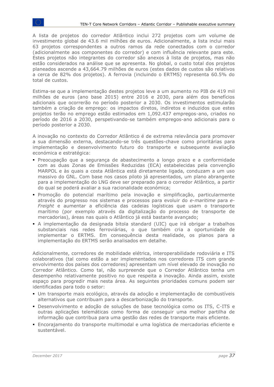A lista de projetos do corredor Atlântico inclui 272 projetos com um volume de investimento global de 43.6 mil milhões de euros. Adicionalmente, a lista inclui mais 63 projetos correspondentes a outros ramos da rede conectados com o corredor (adicionalmente aos componentes do corredor) e com influência relevante para este. Estes projetos não integrantes do corredor são anexos à lista de projetos, mas não estão considerados na análise que se apresenta. No global, o custo total dos projetos planeados ascende a 43,664.79 milhões de euros (estes dados de custos são relativos a cerca de 82% dos projetos). A ferrovia (incluindo o ERTMS) representa 60.5% do total de custos.

Estima-se que a implementação destes projetos leve a um aumento no PIB de 419 mil milhões de euros (ano base 2015) entre 2016 e 2030, para além dos benefícios adicionais que ocorrerão no período posterior a 2030. Os investimentos estimularão também a criação de emprego: os impactos diretos, indiretos e induzidos que estes projetos terão no emprego estão estimados em 1,092.437 empregos-ano, criados no período de 2016 a 2030, perspetivando-se também empregos-ano adicionais para o período posterior a 2030.

A inovação no contexto do Corredor Atlântico é de extrema relevância para promover a sua dimensão externa, destacando-se três questões-chave como prioritárias para implementação e desenvolvimento futuro do transporte e subsequente avaliação económica e estratégica:

- Preocupação que a segurança de abastecimento a longo prazo e a conformidade com as duas Zonas de Emissões Reduzidas (ECA) estabelecidas pela convenção MARPOL e às quais a costa Atlântica está diretamente ligada, conduzam a um uso massivo do GNL. Com base nos casos piloto já apresentados, um plano abrangente para a implementação do LNG deve ser preparado para o corredor Atlântico, a partir do qual se poderá avaliar a sua racionalidade económica;
- Promoção do potencial marítimo pela inovação e simplificação, particularmente através do progresso nos sistemas e processos para evoluir do *e-maritime* para *e-Freight* e aumentar a eficiência das cadeias logísticas que usam o transporte marítimo (por exemplo através da digitalização do processo de transporte de mercadorias), áreas nas quais o Atlântico já está bastante avançado;
- A implementação da designada bitola standard (UIC) que irá obrigar a trabalhos substanciais nas redes ferroviárias, o que também cria a oportunidade de implementar o ERTMS. Em consequência desta realidade, os planos para a implementação do ERTMS serão analisados em detalhe.

Adicionalmente, corredores de mobilidade elétrica, interoperabilidade rodoviária e ITS colaborativos (tal como estão a ser implementados nos corredores ITS com grande envolvimento dos países dos corredores) apresentam um nível elevado de inovação no Corredor Atlântico. Como tal, não surpreende que o Corredor Atlântico tenha um desempenho relativamente positivo no que respeita a inovação. Ainda assim, existe espaço para progredir mais nesta área. As seguintes prioridades comuns podem ser identificadas para todo o setor:

- Um transporte mais ecológico, através da adoção e implementação de combustíveis alternativos que contribuam para a descarbonização do transporte.
- Desenvolvimento e adoção de soluções de base tecnológica como os ITS, C-ITS e outras aplicações telemáticas como forma de conseguir uma melhor partilha de informação que contribua para uma gestão das redes de transporte mais eficiente.
- Encorajamento do transporte multimodal e uma logística de mercadorias eficiente e sustentável.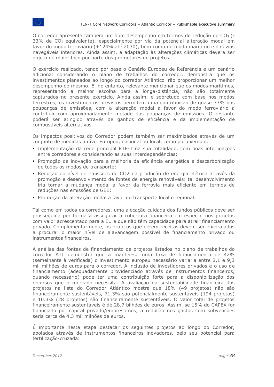O corredor apresenta também um bom desempenho em termos de redução de CO2 (- 33% de CO2 equivalente), especialmente por via da potencial alteração modal em favor do modo ferroviário (+124% até 2030), bem como do modo marítimo e das vias navegáveis interiores. Ainda assim, a adaptação às alterações climáticas deverá ser objeto de maior foco por parte dos promotores de projetos.

O exercício realizado, tendo por base o Cenário Europeu de Referência e um cenário adicional considerando o plano de trabalhos do corredor, demonstra que os investimentos planeados ao longo do corredor Atlântico irão proporcionar um melhor desempenho do mesmo. É, no entanto, relevante mencionar que os modos marítimos, representando a melhor escolha para a longa-distância, não são totalmente capturados no presente exercício. Ainda assim, e sobretudo com base nos modos terrestres, os investimentos previstos permitem uma contribuição de quase 33% nas poupanças de emissões, com a alteração modal a favor do modo ferroviário a contribuir com aproximadamente metade das poupanças de emissões. O restante poderá ser atingido através de ganhos de eficiência e da implementação de combustíveis alternativos.

Os impactos positivos do Corredor podem também ser maximizados através de um conjunto de medidas a nível Europeu, nacional ou local, como por exemplo:

- Implementação da rede principal RTE-T na sua totalidade, com boas interligações entre corredores e considerando as suas interdependências;
- Promoção de inovação para a melhoria da eficiência energética e descarbonização de todos os modos de transporte;
- Redução do nível de emissões de CO2 na produção de energia elétrica através da promoção e desenvolvimento de fontes de energia renováveis: tal desenvolvimento iria tornar a mudança modal a favor da ferrovia mais eficiente em termos de reduções nas emissões de GEE;
- Promoção da alteração modal a favor do transporte local e regional.

Tal como em todos os corredores, uma alocação cuidada dos fundos públicos deve ser prosseguida por forma a assegurar a cobertura financeira em especial nos projetos com valor acrescentado para a EU e que não têm capacidade para atrair financiamento privado. Complementarmente, os projetos que gerem receitas devem ser encorajados a procurar o maior nível de alavancagem possível de financiamento privado ou instrumentos financeiros.

A análise das fontes de financiamento de projetos listados no plano de trabalhos do corredor ATL demonstra que a manter-se uma taxa de financiamento de 42% (semelhante à verificada) o investimento europeu necessário variaria entre 2,1 e 9,3 mil milhões de euros para o corredor. A inclusão de investidores privados e o uso de financiamento (adequadamente providenciado através de instrumentos financeiros, quando necessário) pode ter uma contribuição forte para a disponibilização dos recursos que o mercado necessita. A avaliação da sustentabilidade financeira dos projetos na lista do Corredor Atlântico mostra que 18% (49 projetos) não são financeiramente sustentáveis, 71.3% são potencialmente sustentáveis (194 projetos) e 10.3% (28 projetos) são financeiramente sustentáveis. O valor total de projetos financeiramente sustentáveis é de 28.7 bilhões de euros. Assim, se 15% do CAPEX for financiado por capital privado/empréstimos, a redução nos gastos com subvenções seria cerca de 4.3 mil milhões de euros.

É importante nesta etapa destacar os seguintes projetos ao longo do Corredor, apoiados através de instrumentos financeiros inovadores, pelo seu potencial para fertilização-cruzada: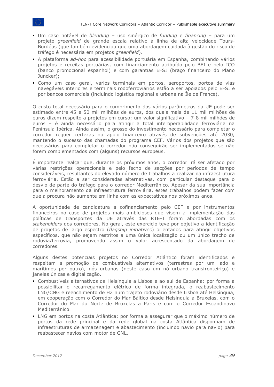- Um caso notável de *blending*  uso sinérgico de *funding* e *financing*  para um projeto *greenfield* de grande escala relativo à linha de alta velocidade Tours-Bordéus (que também evidenciou que uma abordagem cuidada à gestão do risco de tráfego é necessária em projetos *greenfield*).
- A plataforma *ad-hoc* para acessibilidade portuária em Espanha, combinando vários projetos e receitas portuárias, com financiamento atribuído pelo BEI e pelo ICO (banco promocional espanhol) e com garantias EFSI (braço financeiro do Plano Juncker);
- Como um caso geral, vários terminais em portos, aeroportos, portos de vias navegáveis interiores e terminais rodoferroviários estão a ser apoiados pelo EFSI e por bancos comerciais (incluindo logística regional e urbana na Île de France).

O custo total necessário para o cumprimento dos vários parâmetros da UE pode ser estimado entre 45 e 50 mil milhões de euros, dos quais mais de 11 mil milhões de euros dizem respeito a projetos em curso; um valor significativo – 7-8 mil milhões de euros – é ainda necessário para atingir a total interoperabilidade ferroviária na Península Ibérica. Ainda assim, o grosso do investimento necessário para completar o corredor requer certezas no apoio financeiro através de subvenções até 2030, mantendo o sucesso das chamadas do programa CEF. Vários dos projetos que são necessários para completar o corredor não conseguirão ser implementados se não forem complementados com (alguns) recursos europeus.

É importante realçar que, durante os próximos anos, o corredor irá ser afetado por várias restrições operacionais e pelo fecho de secções por períodos de tempo consideráveis, resultantes do elevado número de trabalhos a realizar na infraestrutura ferroviária. Estão a ser consideradas alternativas, com particular destaque para o desvio de parte do tráfego para o corredor Mediterrânico. Apesar da sua importância para o melhoramento da infraestrutura ferroviária, estes trabalhos podem fazer com que a procura não aumente em linha com as expectativas nos próximos anos.

A oportunidade de candidatura a cofinanciamento pelo CEF e por instrumentos financeiros no caso de projetos mais ambiciosos que visem a implementação das políticas de transportes da UE através das RTE-T foram abordadas com os *stakeholders* dos corredores. No geral, este exercício teve por objetivo a identificação de projetos de largo espectro (*flagship initiatives*) orientados para atingir objetivos específicos, que não sejam restritos a uma única localização ou um único trecho de rodovia/ferrovia, promovendo assim o valor acrescentado da abordagem de corredores.

Alguns destes potenciais projetos no Corredor Atlântico foram identificados e respeitam a promoção de combustíveis alternativos (terrestres por um lado e marítimos por outro), nós urbanos (neste caso um nó urbano transfronteiriço) e janelas únicas e digitalização.

- Combustíveis alternativos de Helsínquia a Lisboa e ao sul de Espanha: por forma a possibilitar o recarregamento elétrico de forma integrada, o reabastecimento LNG/CNG e reenchimento de H2 num trajeto rodoviário desde Lisboa até Helsínquia, em cooperação com o Corredor do Mar Báltico desde Helsínquia a Bruxelas, com o Corredor do Mar do Norte de Bruxelas a Paris e com o Corredor Escandinavo Mediterrânico.
- LNG em portos na costa Atlântica: por forma a assegurar que o máximo número de portos da rede principal e da rede global na costa Atlântica disponham de infraestruturas de armazenagem e abastecimento (incluindo navio para navio) para reabastecer navios com motor de GNL.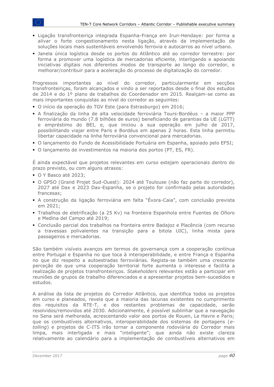- Ligação transfronteiriça integrada Espanha-França em Irun-Hendaye: por forma a alivar o forte congestionamento nesta ligação, através da implementação de soluções locais mais sustentáveis envolvendo ferrovia e autocarros ao nível urbano.
- Janela única logística desde os portos do Atlântico até ao corredor terrestre: por forma a promover uma logística de mercadorias eficiente, interligando e apoiando iniciativas digitais nos diferentes modos de transporte ao longo do corredor, e melhorar/contribuir para a aceleração do processo de digitalização do corredor.

Progressos importantes ao nível do corredor, particularmente em secções transfronteiriças, foram alcançados e vindo a ser reportados desde o final dos estudos de 2014 e do 1º plano de trabalhos do Coordenador em 2015. Realçam-se como as mais importantes conquistas ao nível do corredor as seguintes:

- O início da operação do TGV Este (para Estrasburgo) em 2016;
- A finalização da linha de alta velocidade ferroviária Tours-Bordéus a maior PPP ferroviária do mundo (7.8 bilhões de euros) beneficiando de garantias da UE (LGTT) e empréstimo do BEI, e, que iniciou a sua operação em julho de 2017, possibilitando viajar entre Paris e Bordéus em apenas 2 horas. Esta linha permitiu libertar capacidade na linha ferroviária convencional para mercadorias.
- O lançamento do Fundo de Acessibilidade Portuária em Espanha, apoiado pelo EFSI;
- O lançamento de investimentos na maioria dos portos (PT, ES, FR).

É ainda expectável que projetos relevantes em curso estejam operacionais dentro do prazo previsto, ou com alguns atrasos:

- O Y Basco até 2023;
- O GPSO (Grand Projet Sud-Ouest): 2024 até Toulouse (não faz parte do corredor), 2027 até Dax e 2023 Dax-Espanha, se o projeto for confirmado pelas autoridades francesas;
- A construção da ligação ferroviária em falta "Évora-Caia", com conclusão prevista em 2021;
- Trabalhos de eletrificação (a 25 Kv) na fronteira Espanhola entre Fuentes de Oñoro e Medina del Campo até 2019;
- Conclusão parcial dos trabalhos na fronteira entre Badajoz e Placência (com recurso a travessas polivalentes na transição para a bitola UIC), linha mista para passageiros e mercadorias.

São também visíveis avanços em termos de governança com a cooperação contínua entre Portugal e Espanha no que toca à interoperabilidade, e entre França e Espanha no que diz respeito a autoestradas ferroviárias. Regista-se também uma crescente perceção de que uma cooperação territorial forte aumenta o interesse e facilita a realização de projetos transfronteiriços. *Stakeholders* relevantes estão a participar em reuniões de grupos de trabalho diferenciados e a apresentar projetos bem-sucedidos e estudos.

A análise da lista de projetos do Corredor Atlântico, que identifica todos os projetos em curso e planeados, revela que a maioria das lacunas existentes no cumprimento dos requisitos da RTE-T, e dos restantes problemas de capacidade, serão resolvidos/removidos até 2030. Adicionalmente, é possível sublinhar que a navegação no Sena será melhorada, acrescentando valor aos portos de Rouen, Le Havre e Paris; que os combustíveis alternativos, interoperabilidade dos sistemas de portagens (*etolling*) e projetos de C-ITS irão tornar a componente rodoviária do Corredor mais limpa, mais interligada e mais "inteligente"; que ainda não existe clareza relativamente ao calendário para a implementação de combustíveis alternativos em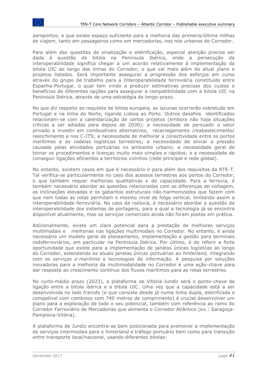aeroportos; e que existe espaço suficiente para a melhoria das primeira/última milhas de viajem, tanto em passageiros como em mercadorias, nos nós urbanos do Corredor.

Para além das questões de sinalização e eletrificação, especial atenção precisa ser dada à questão da bitola na Península Ibérica, onde a persecução da interoperabilidade significa chegar a um acordo relativamente à implementação da bitola UIC ao longo das linhas do Corredor, o que vai mais além do atual plano e projetos listados. Será importante assegurar a progressão dos esforços em curso através do grupo de trabalho para a Interoperabilidade ferroviária constituído entre Espanha-Portugal, o qual tem vindo a produzir estimativas precisas dos custos e benefícios de diferentes opções para assegurar a compatibilidade com a bitola UIC na Península Ibérica, através de uma estratégia de longo-prazo.

No que diz respeito ao requisito de bitola europeia, as lacunas ocorrerão sobretudo em Portugal e na linha do Norte, ligando Lisboa ao Porto. Outros desafios identificados relacionam-se com a calendarização de certos projetos (embora não haja situações críticas a ser adiadas para depois de 2030); a necessidade de persuadir o setor privado a investir em combustíveis alternativos, recarregamento /reabastecimento/ reenchimento e nos C-ITS; a necessidade de melhorar a conectividade entre os portos marítimos e as cadeias logísticas terrestres; a necessidade de aliviar a pressão causada pelas atividades portuárias no ambiente urbano; a necessidade geral de tornar os procedimentos e licenças muito mais simples e rápidos; e a necessidade de conseguir ligações eficientes a territórios vizinhos (rede principal e rede global).

No entanto, existem casos em que é necessário ir para além dos requisitos da RTE-T. Tal verifica-se particularmente no caso dos acessos terrestres aos portos do Corredor, o que também requer melhorias qualitativas e de capacidade. Para a ferrovia, é também necessário abordar as questões relacionadas com as diferenças de voltagem, as inclinações elevadas e os gabaritos estruturais não-harmonizados que fazem com que nem todas as rotas permitam o mesmo nível de folga vertical, limitando assim a interoperabilidade ferroviária. No caso da rodovia, é necessário abordar a questão da interoperabilidade dos sistemas de portagens, para a qual a tecnologia já se encontra disponível atualmente, mas os serviços comerciais ainda não foram postos em prática.

Adicionalmente, existe um claro potencial para a prestação de melhores serviços multimodais e melhorias nas ligações multimodais no Corredor. No entanto, é ainda necessário um modelo geral de planeamento, implementação e gestão para terminais rodoferroviários, em particular na Península Ibérica. Por último, é de referir a forte oportunidade que existe para a implementação de janelas únicas logísticas ao longo do Corredor, estendendo as atuais janelas únicas portuárias ao *hinterland,* integrando com os serviços *e-maritime* e tecnologias de informação. A pesquisa por soluções inovadoras para a melhoria da multimodalidade no Corredor é uma ação-chave para dar resposta ao crescimento contínuo dos fluxos marítimos para as rotas terrestres.

No curto-médio prazo (2023), a plataforma de Vitória-Jundiz será o ponto-chave de ligação entre a bitola ibérica e a bitola UIC. Uma vez que a capacidade está a ser desenvolvida no lado francês (e que consiste desde já numa linha dupla, eletrificada e compatível com comboios com 740 metros de comprimento) é crucial desenvolver um plano para a exploração de todo o seu potencial, também com referência ao ramo do Corredor Ferroviário de Mercadorias que alimenta o Corredor Atlântico (ex.: Saragoça-Pamplona-Vitória).

A plataforma de Jundiz encontra-se bem posicionada para promover a implementação de serviços intermodais para o *hinterland* e tráfego portuário bem como para transição entre transporte local/nacional, usando diferentes bitolas: